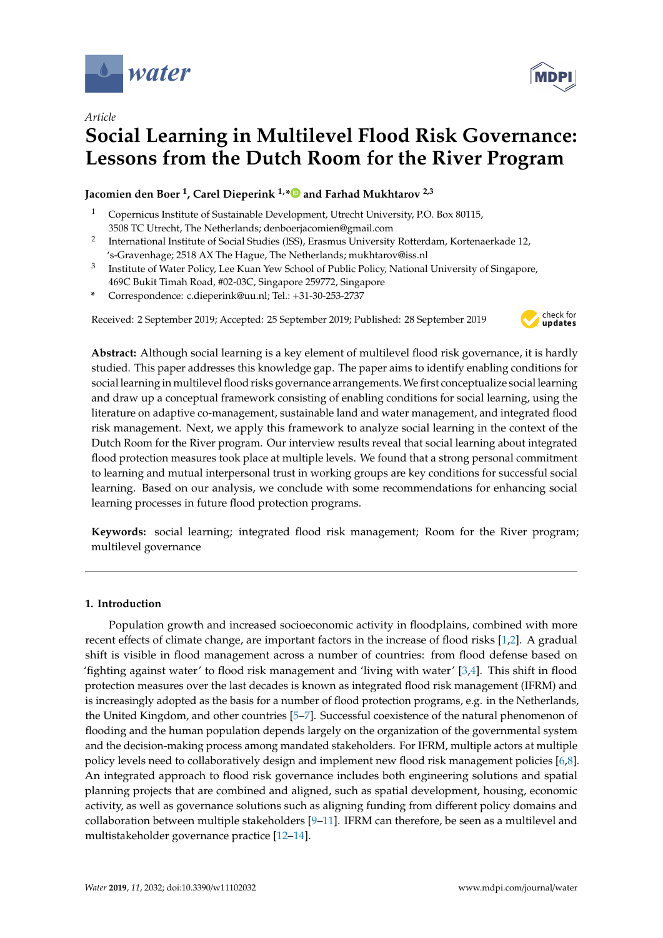



# **Social Learning in Multilevel Flood Risk Governance: Lessons from the Dutch Room for the River Program**

# **Jacomien den Boer <sup>1</sup> , Carel Dieperink 1,[\\*](https://orcid.org/0000-0002-1926-4642) and Farhad Mukhtarov 2,3**

- <sup>1</sup> Copernicus Institute of Sustainable Development, Utrecht University, P.O. Box 80115, 3508 TC Utrecht, The Netherlands; denboerjacomien@gmail.com
- 2 International Institute of Social Studies (ISS), Erasmus University Rotterdam, Kortenaerkade 12, 's-Gravenhage; 2518 AX The Hague, The Netherlands; mukhtarov@iss.nl
- 3 Institute of Water Policy, Lee Kuan Yew School of Public Policy, National University of Singapore, 469C Bukit Timah Road, #02-03C, Singapore 259772, Singapore
- **\*** Correspondence: c.dieperink@uu.nl; Tel.: +31-30-253-2737

Received: 2 September 2019; Accepted: 25 September 2019; Published: 28 September 2019



**Abstract:** Although social learning is a key element of multilevel flood risk governance, it is hardly studied. This paper addresses this knowledge gap. The paper aims to identify enabling conditions for social learning in multilevel flood risks governance arrangements.We first conceptualize social learning and draw up a conceptual framework consisting of enabling conditions for social learning, using the literature on adaptive co-management, sustainable land and water management, and integrated flood risk management. Next, we apply this framework to analyze social learning in the context of the Dutch Room for the River program. Our interview results reveal that social learning about integrated flood protection measures took place at multiple levels. We found that a strong personal commitment to learning and mutual interpersonal trust in working groups are key conditions for successful social learning. Based on our analysis, we conclude with some recommendations for enhancing social learning processes in future flood protection programs.

**Keywords:** social learning; integrated flood risk management; Room for the River program; multilevel governance

## **1. Introduction**

Population growth and increased socioeconomic activity in floodplains, combined with more recent effects of climate change, are important factors in the increase of flood risks [\[1,](#page-13-0)[2\]](#page-13-1). A gradual shift is visible in flood management across a number of countries: from flood defense based on 'fighting against water' to flood risk management and 'living with water' [\[3,](#page-13-2)[4\]](#page-13-3). This shift in flood protection measures over the last decades is known as integrated flood risk management (IFRM) and is increasingly adopted as the basis for a number of flood protection programs, e.g. in the Netherlands, the United Kingdom, and other countries [\[5](#page-13-4)[–7\]](#page-13-5). Successful coexistence of the natural phenomenon of flooding and the human population depends largely on the organization of the governmental system and the decision-making process among mandated stakeholders. For IFRM, multiple actors at multiple policy levels need to collaboratively design and implement new flood risk management policies [\[6,](#page-13-6)[8\]](#page-13-7). An integrated approach to flood risk governance includes both engineering solutions and spatial planning projects that are combined and aligned, such as spatial development, housing, economic activity, as well as governance solutions such as aligning funding from different policy domains and collaboration between multiple stakeholders [\[9–](#page-13-8)[11\]](#page-13-9). IFRM can therefore, be seen as a multilevel and multistakeholder governance practice [\[12–](#page-13-10)[14\]](#page-13-11).

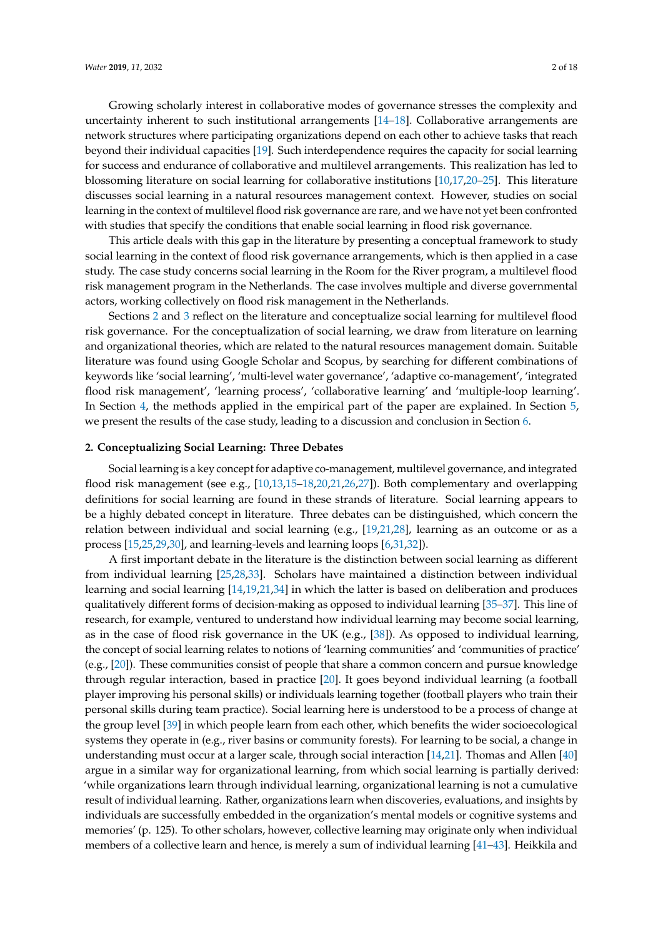Growing scholarly interest in collaborative modes of governance stresses the complexity and uncertainty inherent to such institutional arrangements [\[14](#page-13-11)[–18\]](#page-13-12). Collaborative arrangements are network structures where participating organizations depend on each other to achieve tasks that reach beyond their individual capacities [\[19\]](#page-13-13). Such interdependence requires the capacity for social learning for success and endurance of collaborative and multilevel arrangements. This realization has led to blossoming literature on social learning for collaborative institutions [\[10](#page-13-14)[,17](#page-13-15)[,20–](#page-14-0)[25\]](#page-14-1). This literature discusses social learning in a natural resources management context. However, studies on social learning in the context of multilevel flood risk governance are rare, and we have not yet been confronted

This article deals with this gap in the literature by presenting a conceptual framework to study social learning in the context of flood risk governance arrangements, which is then applied in a case study. The case study concerns social learning in the Room for the River program, a multilevel flood risk management program in the Netherlands. The case involves multiple and diverse governmental actors, working collectively on flood risk management in the Netherlands.

with studies that specify the conditions that enable social learning in flood risk governance.

Sections [2](#page-1-0) and [3](#page-2-0) reflect on the literature and conceptualize social learning for multilevel flood risk governance. For the conceptualization of social learning, we draw from literature on learning and organizational theories, which are related to the natural resources management domain. Suitable literature was found using Google Scholar and Scopus, by searching for different combinations of keywords like 'social learning', 'multi-level water governance', 'adaptive co-management', 'integrated flood risk management', 'learning process', 'collaborative learning' and 'multiple-loop learning'. In Section [4,](#page-6-0) the methods applied in the empirical part of the paper are explained. In Section [5,](#page-8-0) we present the results of the case study, leading to a discussion and conclusion in Section [6.](#page-11-0)

#### <span id="page-1-0"></span>**2. Conceptualizing Social Learning: Three Debates**

Social learning is a key concept for adaptive co-management, multilevel governance, and integrated flood risk management (see e.g., [\[10,](#page-13-14)[13,](#page-13-16)[15–](#page-13-17)[18](#page-13-12)[,20](#page-14-0)[,21](#page-14-2)[,26](#page-14-3)[,27\]](#page-14-4)). Both complementary and overlapping definitions for social learning are found in these strands of literature. Social learning appears to be a highly debated concept in literature. Three debates can be distinguished, which concern the relation between individual and social learning (e.g., [\[19,](#page-13-13)[21](#page-14-2)[,28\]](#page-14-5), learning as an outcome or as a process [\[15](#page-13-17)[,25](#page-14-1)[,29,](#page-14-6)[30\]](#page-14-7), and learning-levels and learning loops [\[6,](#page-13-6)[31,](#page-14-8)[32\]](#page-14-9)).

A first important debate in the literature is the distinction between social learning as different from individual learning [\[25](#page-14-1)[,28](#page-14-5)[,33\]](#page-14-10). Scholars have maintained a distinction between individual learning and social learning [\[14,](#page-13-11)[19,](#page-13-13)[21](#page-14-2)[,34\]](#page-14-11) in which the latter is based on deliberation and produces qualitatively different forms of decision-making as opposed to individual learning [\[35](#page-14-12)[–37\]](#page-14-13). This line of research, for example, ventured to understand how individual learning may become social learning, as in the case of flood risk governance in the UK (e.g., [\[38\]](#page-14-14)). As opposed to individual learning, the concept of social learning relates to notions of 'learning communities' and 'communities of practice' (e.g., [\[20\]](#page-14-0)). These communities consist of people that share a common concern and pursue knowledge through regular interaction, based in practice [\[20\]](#page-14-0). It goes beyond individual learning (a football player improving his personal skills) or individuals learning together (football players who train their personal skills during team practice). Social learning here is understood to be a process of change at the group level [\[39\]](#page-14-15) in which people learn from each other, which benefits the wider socioecological systems they operate in (e.g., river basins or community forests). For learning to be social, a change in understanding must occur at a larger scale, through social interaction [\[14,](#page-13-11)[21\]](#page-14-2). Thomas and Allen [\[40\]](#page-14-16) argue in a similar way for organizational learning, from which social learning is partially derived: 'while organizations learn through individual learning, organizational learning is not a cumulative result of individual learning. Rather, organizations learn when discoveries, evaluations, and insights by individuals are successfully embedded in the organization's mental models or cognitive systems and memories' (p. 125). To other scholars, however, collective learning may originate only when individual members of a collective learn and hence, is merely a sum of individual learning [\[41–](#page-14-17)[43\]](#page-14-18). Heikkila and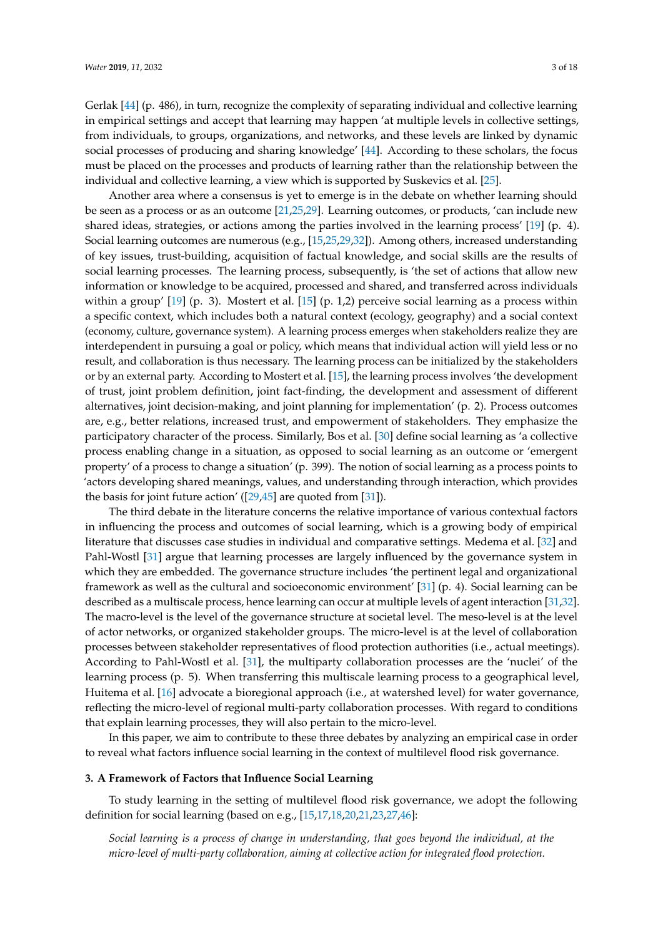Gerlak [\[44\]](#page-14-19) (p. 486), in turn, recognize the complexity of separating individual and collective learning in empirical settings and accept that learning may happen 'at multiple levels in collective settings, from individuals, to groups, organizations, and networks, and these levels are linked by dynamic social processes of producing and sharing knowledge' [\[44\]](#page-14-19). According to these scholars, the focus must be placed on the processes and products of learning rather than the relationship between the individual and collective learning, a view which is supported by Suskevics et al. [\[25\]](#page-14-1).

Another area where a consensus is yet to emerge is in the debate on whether learning should be seen as a process or as an outcome [\[21](#page-14-2)[,25](#page-14-1)[,29\]](#page-14-6). Learning outcomes, or products, 'can include new shared ideas, strategies, or actions among the parties involved in the learning process' [\[19\]](#page-13-13) (p. 4). Social learning outcomes are numerous (e.g., [\[15,](#page-13-17)[25,](#page-14-1)[29,](#page-14-6)[32\]](#page-14-9)). Among others, increased understanding of key issues, trust-building, acquisition of factual knowledge, and social skills are the results of social learning processes. The learning process, subsequently, is 'the set of actions that allow new information or knowledge to be acquired, processed and shared, and transferred across individuals within a group' [\[19\]](#page-13-13) (p. 3). Mostert et al. [\[15\]](#page-13-17) (p. 1,2) perceive social learning as a process within a specific context, which includes both a natural context (ecology, geography) and a social context (economy, culture, governance system). A learning process emerges when stakeholders realize they are interdependent in pursuing a goal or policy, which means that individual action will yield less or no result, and collaboration is thus necessary. The learning process can be initialized by the stakeholders or by an external party. According to Mostert et al. [\[15\]](#page-13-17), the learning process involves 'the development of trust, joint problem definition, joint fact-finding, the development and assessment of different alternatives, joint decision-making, and joint planning for implementation' (p. 2). Process outcomes are, e.g., better relations, increased trust, and empowerment of stakeholders. They emphasize the participatory character of the process. Similarly, Bos et al. [\[30\]](#page-14-7) define social learning as 'a collective process enabling change in a situation, as opposed to social learning as an outcome or 'emergent property' of a process to change a situation' (p. 399). The notion of social learning as a process points to 'actors developing shared meanings, values, and understanding through interaction, which provides the basis for joint future action' ([\[29](#page-14-6)[,45\]](#page-14-20) are quoted from [\[31\]](#page-14-8)).

The third debate in the literature concerns the relative importance of various contextual factors in influencing the process and outcomes of social learning, which is a growing body of empirical literature that discusses case studies in individual and comparative settings. Medema et al. [\[32\]](#page-14-9) and Pahl-Wostl [\[31\]](#page-14-8) argue that learning processes are largely influenced by the governance system in which they are embedded. The governance structure includes 'the pertinent legal and organizational framework as well as the cultural and socioeconomic environment' [\[31\]](#page-14-8) (p. 4). Social learning can be described as a multiscale process, hence learning can occur at multiple levels of agent interaction [\[31](#page-14-8)[,32\]](#page-14-9). The macro-level is the level of the governance structure at societal level. The meso-level is at the level of actor networks, or organized stakeholder groups. The micro-level is at the level of collaboration processes between stakeholder representatives of flood protection authorities (i.e., actual meetings). According to Pahl-Wostl et al. [\[31\]](#page-14-8), the multiparty collaboration processes are the 'nuclei' of the learning process (p. 5). When transferring this multiscale learning process to a geographical level, Huitema et al. [\[16\]](#page-13-18) advocate a bioregional approach (i.e., at watershed level) for water governance, reflecting the micro-level of regional multi-party collaboration processes. With regard to conditions that explain learning processes, they will also pertain to the micro-level.

In this paper, we aim to contribute to these three debates by analyzing an empirical case in order to reveal what factors influence social learning in the context of multilevel flood risk governance.

#### <span id="page-2-0"></span>**3. A Framework of Factors that Influence Social Learning**

To study learning in the setting of multilevel flood risk governance, we adopt the following definition for social learning (based on e.g., [\[15](#page-13-17)[,17](#page-13-15)[,18,](#page-13-12)[20,](#page-14-0)[21,](#page-14-2)[23,](#page-14-21)[27,](#page-14-4)[46\]](#page-14-22):

*Social learning is a process of change in understanding, that goes beyond the individual, at the micro-level of multi-party collaboration, aiming at collective action for integrated flood protection.*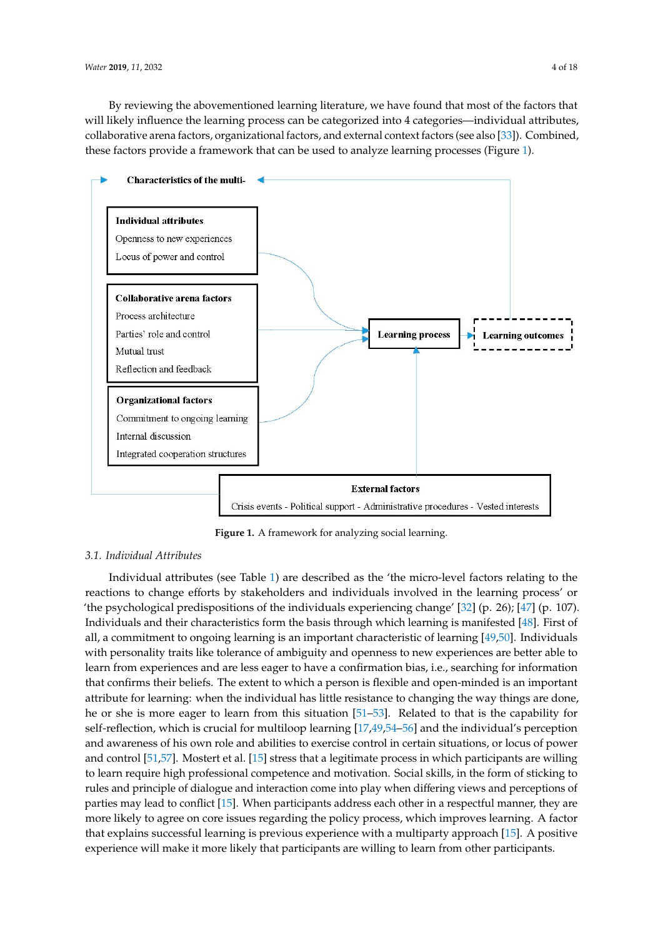By reviewing the abovementioned learning literature, we have found that most of the factors that will likely influence the learning process can be categorized into 4 categories—individual attributes, collaborative arena factors, organizational factors, and external context factors (see also [\[33\]](#page-14-10)). Combined, these factors provide a framework that can be used to analyze learning processes (Figure [1\)](#page-3-0). (Figure 1).

<span id="page-3-0"></span>

**Figure 1.** A framework for analyzing social learning. **Figure 1.** A framework for analyzing social learning.

#### *3.1. Individual Attributes*

reactions to change efforts by stakeholders and individuals involved in the learning process' or 'the psychological predispositions of the individuals experiencing change' [\[32\]](#page-14-9) (p. 26); [\[47\]](#page-15-0) (p. 107). Individuals and their characteristics form the basis through which learning is manifested [\[48\]](#page-15-1). First of all, a commitment to ongoing learning is an important characteristic of learning [\[49](#page-15-2)[,50\]](#page-15-3). Individuals with personality traits like tolerance of ambiguity and openness to new experiences are better able to learn from experiences and are less eager to have a confirmation bias, i.e., searching for information that confirms their beliefs. The extent to which a person is flexible and open-minded is an important attribute for learning: when the individual has little resistance to changing the way things are done, he or she is more eager to learn from this situation [\[51–](#page-15-4)[53\]](#page-15-5). Related to that is the capability for self-reflection, which is crucial for multiloop learning [\[17](#page-13-15)[,49](#page-15-2)[,54](#page-15-6)[–56\]](#page-15-7) and the individual's perception and awareness of his own role and abilities to exercise control in certain situations, or locus of power and control [\[51,](#page-15-4)[57\]](#page-15-8). Mostert et al. [\[15\]](#page-13-17) stress that a legitimate process in which participants are willing to learn require high professional competence and motivation. Social skills, in the form of sticking to rules and principle of dialogue and interaction come into play when differing views and perceptions of parties may lead to conflict [\[15\]](#page-13-17). When participants address each other in a respectful manner, they are more likely to agree on core issues regarding the policy process, which improves learning. A factor that explains successful learning is previous experience with a multiparty approach [\[15\]](#page-13-17). A positive experience will make it more likely that participants are willing to learn from other participants. Individual attributes (see Table [1\)](#page-4-0) are described as the 'the micro-level factors relating to the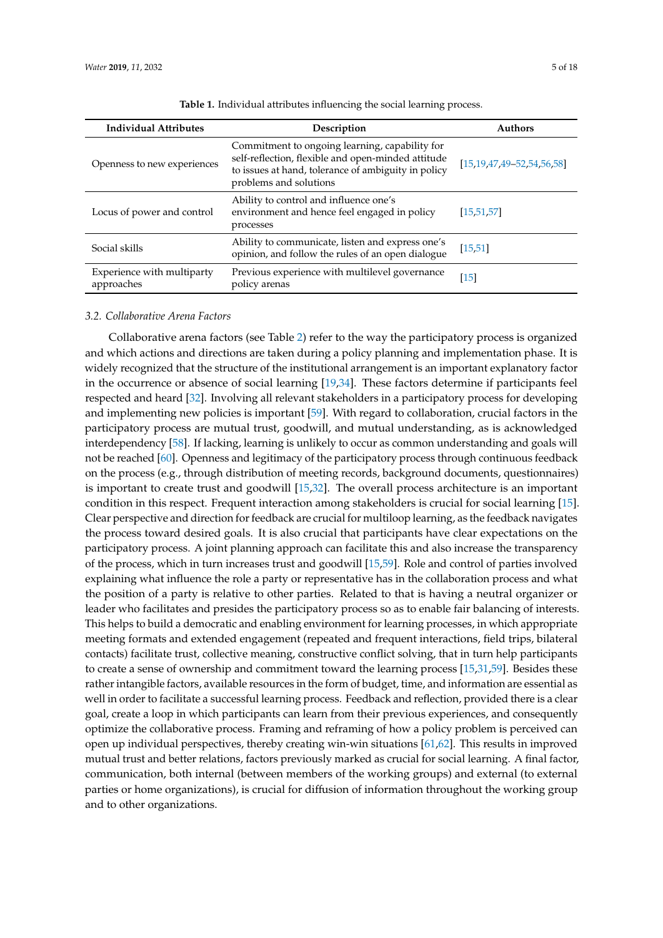<span id="page-4-0"></span>

| <b>Individual Attributes</b>             | Description                                                                                                                                                                           | <b>Authors</b>                      |
|------------------------------------------|---------------------------------------------------------------------------------------------------------------------------------------------------------------------------------------|-------------------------------------|
| Openness to new experiences              | Commitment to ongoing learning, capability for<br>self-reflection, flexible and open-minded attitude<br>to issues at hand, tolerance of ambiguity in policy<br>problems and solutions | $[15, 19, 47, 49 - 52, 54, 56, 58]$ |
| Locus of power and control               | Ability to control and influence one's<br>environment and hence feel engaged in policy<br>processes                                                                                   | [15, 51, 57]                        |
| Social skills                            | Ability to communicate, listen and express one's<br>opinion, and follow the rules of an open dialogue                                                                                 | [15, 51]                            |
| Experience with multiparty<br>approaches | Previous experience with multilevel governance<br>policy arenas                                                                                                                       | $\lceil 15 \rceil$                  |

**Table 1.** Individual attributes influencing the social learning process.

## *3.2. Collaborative Arena Factors*

Collaborative arena factors (see Table [2\)](#page-5-0) refer to the way the participatory process is organized and which actions and directions are taken during a policy planning and implementation phase. It is widely recognized that the structure of the institutional arrangement is an important explanatory factor in the occurrence or absence of social learning [\[19](#page-13-13)[,34\]](#page-14-11). These factors determine if participants feel respected and heard [\[32\]](#page-14-9). Involving all relevant stakeholders in a participatory process for developing and implementing new policies is important [\[59\]](#page-15-11). With regard to collaboration, crucial factors in the participatory process are mutual trust, goodwill, and mutual understanding, as is acknowledged interdependency [\[58\]](#page-15-10). If lacking, learning is unlikely to occur as common understanding and goals will not be reached [\[60\]](#page-15-12). Openness and legitimacy of the participatory process through continuous feedback on the process (e.g., through distribution of meeting records, background documents, questionnaires) is important to create trust and goodwill [\[15,](#page-13-17)[32\]](#page-14-9). The overall process architecture is an important condition in this respect. Frequent interaction among stakeholders is crucial for social learning [\[15\]](#page-13-17). Clear perspective and direction for feedback are crucial for multiloop learning, as the feedback navigates the process toward desired goals. It is also crucial that participants have clear expectations on the participatory process. A joint planning approach can facilitate this and also increase the transparency of the process, which in turn increases trust and goodwill [\[15,](#page-13-17)[59\]](#page-15-11). Role and control of parties involved explaining what influence the role a party or representative has in the collaboration process and what the position of a party is relative to other parties. Related to that is having a neutral organizer or leader who facilitates and presides the participatory process so as to enable fair balancing of interests. This helps to build a democratic and enabling environment for learning processes, in which appropriate meeting formats and extended engagement (repeated and frequent interactions, field trips, bilateral contacts) facilitate trust, collective meaning, constructive conflict solving, that in turn help participants to create a sense of ownership and commitment toward the learning process [\[15](#page-13-17)[,31](#page-14-8)[,59\]](#page-15-11). Besides these rather intangible factors, available resources in the form of budget, time, and information are essential as well in order to facilitate a successful learning process. Feedback and reflection, provided there is a clear goal, create a loop in which participants can learn from their previous experiences, and consequently optimize the collaborative process. Framing and reframing of how a policy problem is perceived can open up individual perspectives, thereby creating win-win situations [\[61,](#page-15-13)[62\]](#page-15-14). This results in improved mutual trust and better relations, factors previously marked as crucial for social learning. A final factor, communication, both internal (between members of the working groups) and external (to external parties or home organizations), is crucial for diffusion of information throughout the working group and to other organizations.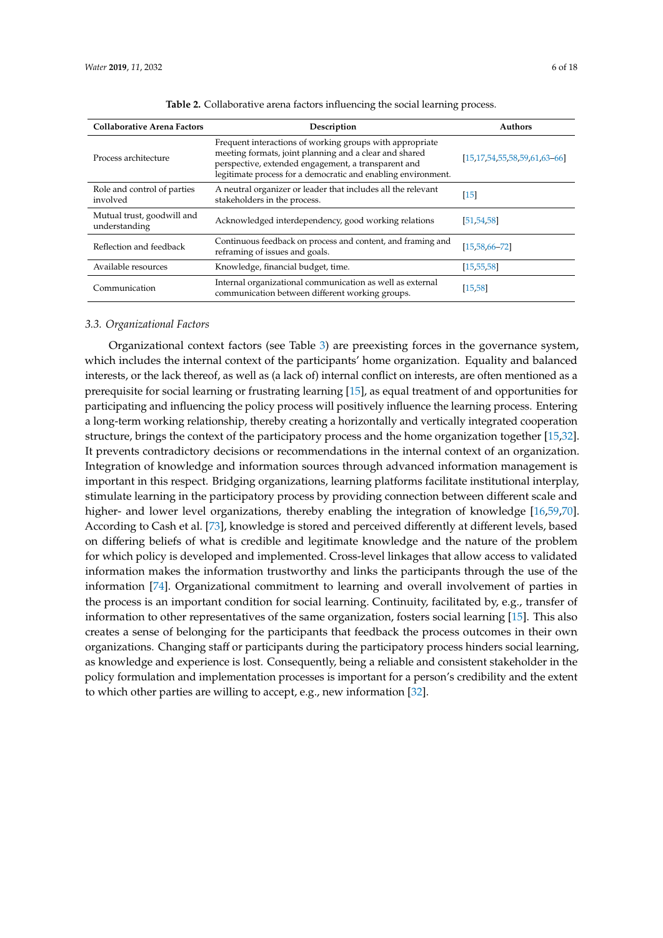<span id="page-5-0"></span>

| <b>Collaborative Arena Factors</b>          | Description                                                                                                                                                                                                                                | <b>Authors</b>                          |
|---------------------------------------------|--------------------------------------------------------------------------------------------------------------------------------------------------------------------------------------------------------------------------------------------|-----------------------------------------|
| Process architecture                        | Frequent interactions of working groups with appropriate<br>meeting formats, joint planning and a clear and shared<br>perspective, extended engagement, a transparent and<br>legitimate process for a democratic and enabling environment. | $[15, 17, 54, 55, 58, 59, 61, 63, -66]$ |
| Role and control of parties<br>involved     | A neutral organizer or leader that includes all the relevant<br>stakeholders in the process.                                                                                                                                               | $[15]$                                  |
| Mutual trust, goodwill and<br>understanding | Acknowledged interdependency, good working relations                                                                                                                                                                                       | [51, 54, 58]                            |
| Reflection and feedback                     | Continuous feedback on process and content, and framing and<br>reframing of issues and goals.                                                                                                                                              | $[15, 58, 66 - 72]$                     |
| Available resources                         | Knowledge, financial budget, time.                                                                                                                                                                                                         | [15, 55, 58]                            |
| Communication                               | Internal organizational communication as well as external<br>communication between different working groups.                                                                                                                               | [15, 58]                                |

**Table 2.** Collaborative arena factors influencing the social learning process.

#### *3.3. Organizational Factors*

Organizational context factors (see Table [3\)](#page-6-1) are preexisting forces in the governance system, which includes the internal context of the participants' home organization. Equality and balanced interests, or the lack thereof, as well as (a lack of) internal conflict on interests, are often mentioned as a prerequisite for social learning or frustrating learning [\[15\]](#page-13-17), as equal treatment of and opportunities for participating and influencing the policy process will positively influence the learning process. Entering a long-term working relationship, thereby creating a horizontally and vertically integrated cooperation structure, brings the context of the participatory process and the home organization together [\[15,](#page-13-17)[32\]](#page-14-9). It prevents contradictory decisions or recommendations in the internal context of an organization. Integration of knowledge and information sources through advanced information management is important in this respect. Bridging organizations, learning platforms facilitate institutional interplay, stimulate learning in the participatory process by providing connection between different scale and higher- and lower level organizations, thereby enabling the integration of knowledge [\[16,](#page-13-18)[59,](#page-15-11)[70\]](#page-15-18). According to Cash et al. [\[73\]](#page-16-1), knowledge is stored and perceived differently at different levels, based on differing beliefs of what is credible and legitimate knowledge and the nature of the problem for which policy is developed and implemented. Cross-level linkages that allow access to validated information makes the information trustworthy and links the participants through the use of the information [\[74\]](#page-16-2). Organizational commitment to learning and overall involvement of parties in the process is an important condition for social learning. Continuity, facilitated by, e.g., transfer of information to other representatives of the same organization, fosters social learning [\[15\]](#page-13-17). This also creates a sense of belonging for the participants that feedback the process outcomes in their own organizations. Changing staff or participants during the participatory process hinders social learning, as knowledge and experience is lost. Consequently, being a reliable and consistent stakeholder in the policy formulation and implementation processes is important for a person's credibility and the extent to which other parties are willing to accept, e.g., new information [\[32\]](#page-14-9).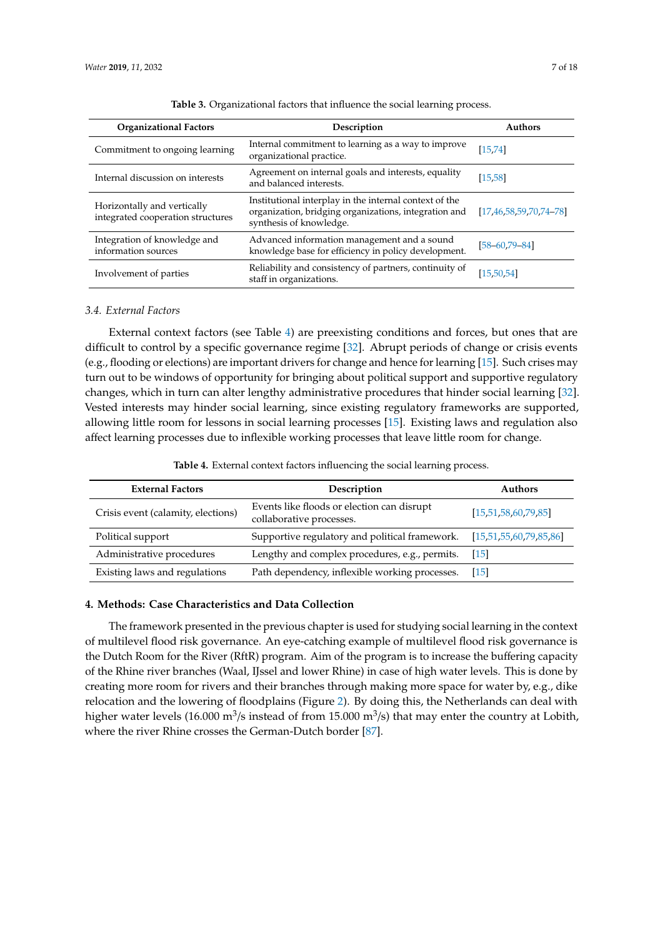<span id="page-6-1"></span>

| <b>Organizational Factors</b>                                    | Description                                                                                                                                | <b>Authors</b>                  |
|------------------------------------------------------------------|--------------------------------------------------------------------------------------------------------------------------------------------|---------------------------------|
| Commitment to ongoing learning                                   | Internal commitment to learning as a way to improve<br>organizational practice.                                                            | [15, 74]                        |
| Internal discussion on interests                                 | Agreement on internal goals and interests, equality<br>and balanced interests.                                                             | [15, 58]                        |
| Horizontally and vertically<br>integrated cooperation structures | Institutional interplay in the internal context of the<br>organization, bridging organizations, integration and<br>synthesis of knowledge. | $[17, 46, 58, 59, 70, 74, -78]$ |
| Integration of knowledge and<br>information sources              | Advanced information management and a sound<br>knowledge base for efficiency in policy development.                                        | $[58 - 60, 79 - 84]$            |
| Involvement of parties                                           | Reliability and consistency of partners, continuity of<br>staff in organizations.                                                          | [15, 50, 54]                    |

**Table 3.** Organizational factors that influence the social learning process.

## *3.4. External Factors*

External context factors (see Table [4\)](#page-6-2) are preexisting conditions and forces, but ones that are difficult to control by a specific governance regime [\[32\]](#page-14-9). Abrupt periods of change or crisis events (e.g., flooding or elections) are important drivers for change and hence for learning [\[15\]](#page-13-17). Such crises may turn out to be windows of opportunity for bringing about political support and supportive regulatory changes, which in turn can alter lengthy administrative procedures that hinder social learning [\[32\]](#page-14-9). Vested interests may hinder social learning, since existing regulatory frameworks are supported, allowing little room for lessons in social learning processes [\[15\]](#page-13-17). Existing laws and regulation also affect learning processes due to inflexible working processes that leave little room for change.

**Table 4.** External context factors influencing the social learning process.

<span id="page-6-2"></span>

| <b>External Factors</b>            | Description                                                            | <b>Authors</b>               |
|------------------------------------|------------------------------------------------------------------------|------------------------------|
| Crisis event (calamity, elections) | Events like floods or election can disrupt<br>collaborative processes. | [15, 51, 58, 60, 79, 85]     |
| Political support                  | Supportive regulatory and political framework.                         | [15, 51, 55, 60, 79, 85, 86] |
| Administrative procedures          | Lengthy and complex procedures, e.g., permits.                         | $\lceil 15 \rceil$           |
| Existing laws and regulations      | Path dependency, inflexible working processes.                         | $\lceil 15 \rceil$           |

## <span id="page-6-0"></span>**4. Methods: Case Characteristics and Data Collection**

The framework presented in the previous chapter is used for studying social learning in the context of multilevel flood risk governance. An eye-catching example of multilevel flood risk governance is the Dutch Room for the River (RftR) program. Aim of the program is to increase the buffering capacity of the Rhine river branches (Waal, IJssel and lower Rhine) in case of high water levels. This is done by creating more room for rivers and their branches through making more space for water by, e.g., dike relocation and the lowering of floodplains (Figure [2\)](#page-7-0). By doing this, the Netherlands can deal with higher water levels (16.000 m $^3$ /s instead of from 15.000 m $^3$ /s) that may enter the country at Lobith, where the river Rhine crosses the German-Dutch border [\[87\]](#page-16-8).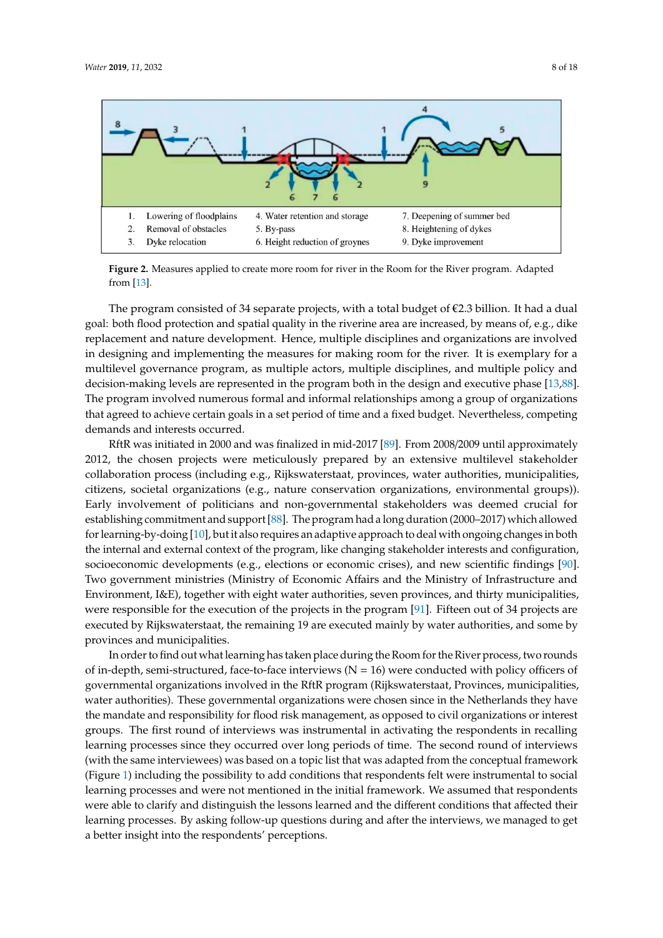<span id="page-7-0"></span>

**Figure 2.** Measures applied to create more room for river in the Room for the River program. Adapted **Figure 2.** Measures applied to create more room for river in the Room for the River program. Adapted from [13]. from [\[13\]](#page-13-16).

The program consisted of 34 separate projects, with a total budget of  $\epsilon$ 2.3 billion. It had a dual goal: both flood protection and spatial quality in the riverine area are increased, by means of, e.g., dike replacement and nature development. Hence, multiple disciplines and organizations are involved in designing and implementing the measures for making room for the river. It is exemplary for a multilevel governance program, as multiple actors, multiple disciplines, and multiple policy and decision-making levels are represented in the program both in the design and executive phase [\[13](#page-13-16)[,88\]](#page-16-9). The program involved numerous formal and informal relationships among a group of organizations that agreed to achieve certain goals in a set period of time and a fixed budget. Nevertheless, competing Neurands and interests occurred.<br>  $\frac{1}{2}$ demands and interests occurred.

RftR was initiated in 2000 and was finalized in mid-2017 [89]. From 2008/2009 until RftR was initiated in 2000 and was finalized in mid-2017 [\[89\]](#page-16-10). From 2008/2009 until approximately 2012, the chosen projects were meticulously prepared by an extensive multilevel stakeholder collaboration process (including e.g., Rijkswaterstaat, provinces, water authorities, municipalities, municipalities, citizens, societal organizations (e.g., nature conservation organizations, citizens, societal organizations (e.g., nature conservation organizations, environmental groups)). Early involvement of politicians and non-governmental stakeholders was deemed crucial for establishing commitment and support [\[88\]](#page-16-9). The program had a long duration (2000–2017) which allowed for learning-by-doing [\[10\]](#page-13-14), but it also requires an adaptive approach to deal with ongoing changes in both the internal and external context of the program, like changing stakeholder interests and configuration, socioeconomic developments (e.g., elections or economic crises), and new scientific findings [\[90\]](#page-16-11). Two government ministries (Ministry of Economic Affairs and the Ministry of Infrastructure and Environment, I&E), together with eight water authorities, seven provinces, and thirty municipalities, were responsible for the execution of the projects in the program [\[91\]](#page-16-12). Fifteen out of 34 projects are executed by Rijkswaterstaat, the remaining 19 are executed mainly by water authorities, and some by provinces and municipalities. provinces and municipalities.

In order to find out what learning has taken place during the Room for the River process, two In order to find out what learning has taken place during the Room for the River process, two rounds of in-depth, semi-structured, face-to-face interviews ( $N = 16$ ) were conducted with policy officers of governmental organizations involved in the RftR program (Rijkswaterstaat, Provinces, municipalities, water authorities). These governmental organizations were chosen since in the Netherlands they have the mandate and responsibility for flood risk management, as opposed to civil organizations or interest groups. The first round of interviews was instrumental in activating the respondents in recalling learning processes since they occurred over long periods of time. The second round of interviews (with the same interviewees) was based on a topic list that was adapted from the conceptual framework (Figure [1\)](#page-3-0) including the possibility to add conditions that respondents felt were instrumental to social learning processes and were not mentioned in the initial framework. We assumed that respondents were able to clarify and distinguish the lessons learned and the different conditions that affected their learning processes. By asking follow-up questions during and after the interviews, we managed to get a better insight into the respondents' perceptions.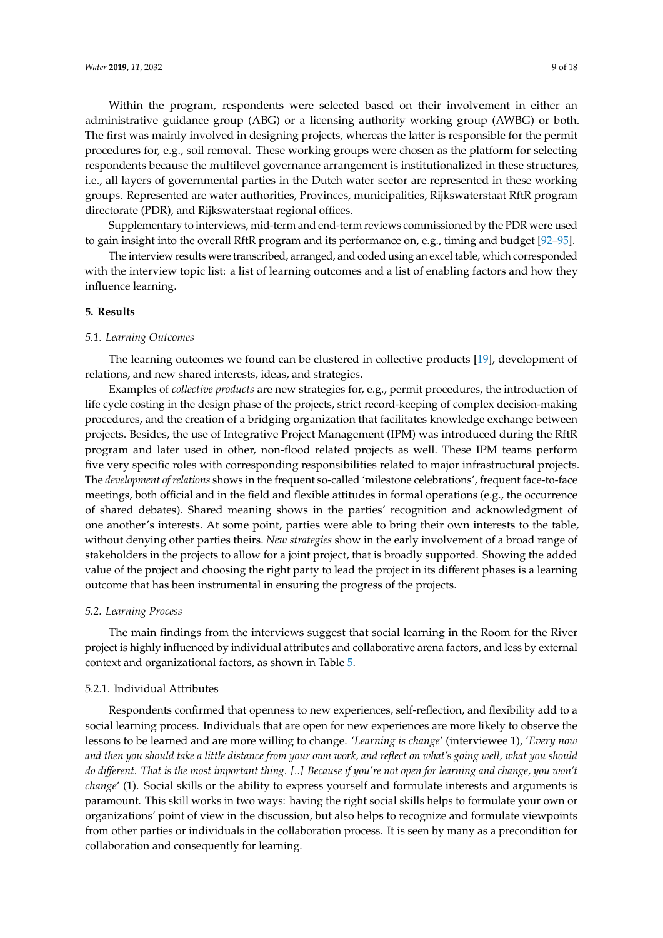Within the program, respondents were selected based on their involvement in either an administrative guidance group (ABG) or a licensing authority working group (AWBG) or both. The first was mainly involved in designing projects, whereas the latter is responsible for the permit procedures for, e.g., soil removal. These working groups were chosen as the platform for selecting respondents because the multilevel governance arrangement is institutionalized in these structures, i.e., all layers of governmental parties in the Dutch water sector are represented in these working groups. Represented are water authorities, Provinces, municipalities, Rijkswaterstaat RftR program directorate (PDR), and Rijkswaterstaat regional offices.

Supplementary to interviews, mid-term and end-term reviews commissioned by the PDR were used to gain insight into the overall RftR program and its performance on, e.g., timing and budget [\[92–](#page-16-13)[95\]](#page-16-14).

The interview results were transcribed, arranged, and coded using an excel table, which corresponded with the interview topic list: a list of learning outcomes and a list of enabling factors and how they influence learning.

### <span id="page-8-0"></span>**5. Results**

#### *5.1. Learning Outcomes*

The learning outcomes we found can be clustered in collective products [\[19\]](#page-13-13), development of relations, and new shared interests, ideas, and strategies.

Examples of *collective products* are new strategies for, e.g., permit procedures, the introduction of life cycle costing in the design phase of the projects, strict record-keeping of complex decision-making procedures, and the creation of a bridging organization that facilitates knowledge exchange between projects. Besides, the use of Integrative Project Management (IPM) was introduced during the RftR program and later used in other, non-flood related projects as well. These IPM teams perform five very specific roles with corresponding responsibilities related to major infrastructural projects. The *development of relations* shows in the frequent so-called 'milestone celebrations', frequent face-to-face meetings, both official and in the field and flexible attitudes in formal operations (e.g., the occurrence of shared debates). Shared meaning shows in the parties' recognition and acknowledgment of one another's interests. At some point, parties were able to bring their own interests to the table, without denying other parties theirs. *New strategies* show in the early involvement of a broad range of stakeholders in the projects to allow for a joint project, that is broadly supported. Showing the added value of the project and choosing the right party to lead the project in its different phases is a learning outcome that has been instrumental in ensuring the progress of the projects.

#### *5.2. Learning Process*

The main findings from the interviews suggest that social learning in the Room for the River project is highly influenced by individual attributes and collaborative arena factors, and less by external context and organizational factors, as shown in Table [5.](#page-9-0)

## 5.2.1. Individual Attributes

Respondents confirmed that openness to new experiences, self-reflection, and flexibility add to a social learning process. Individuals that are open for new experiences are more likely to observe the lessons to be learned and are more willing to change. '*Learning is change*' (interviewee 1), '*Every now and then you should take a little distance from your own work, and reflect on what's going well, what you should do di*ff*erent. That is the most important thing. [..] Because if you're not open for learning and change, you won't change'* (1). Social skills or the ability to express yourself and formulate interests and arguments is paramount. This skill works in two ways: having the right social skills helps to formulate your own or organizations' point of view in the discussion, but also helps to recognize and formulate viewpoints from other parties or individuals in the collaboration process. It is seen by many as a precondition for collaboration and consequently for learning.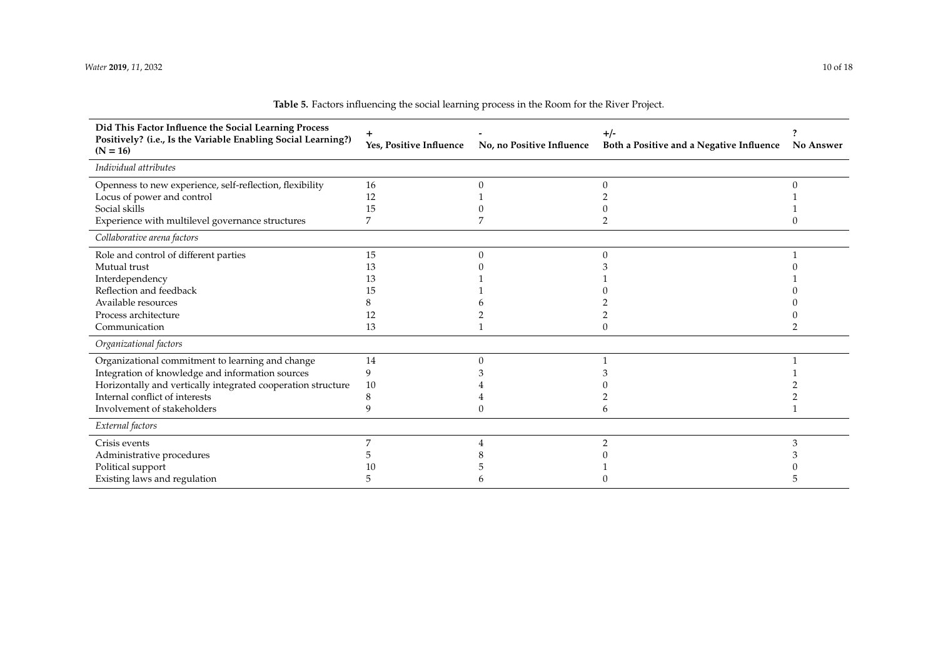<span id="page-9-0"></span>

| Did This Factor Influence the Social Learning Process<br>Positively? (i.e., Is the Variable Enabling Social Learning?)<br>$(N = 16)$ | Yes, Positive Influence | No, no Positive Influence | $+/-$<br>Both a Positive and a Negative Influence | <b>No Answer</b> |
|--------------------------------------------------------------------------------------------------------------------------------------|-------------------------|---------------------------|---------------------------------------------------|------------------|
| Individual attributes                                                                                                                |                         |                           |                                                   |                  |
| Openness to new experience, self-reflection, flexibility                                                                             | 16                      |                           |                                                   |                  |
| Locus of power and control                                                                                                           | 12                      |                           |                                                   |                  |
| Social skills                                                                                                                        | 15                      |                           |                                                   |                  |
| Experience with multilevel governance structures                                                                                     |                         |                           |                                                   |                  |
| Collaborative arena factors                                                                                                          |                         |                           |                                                   |                  |
| Role and control of different parties                                                                                                | 15                      |                           |                                                   |                  |
| Mutual trust                                                                                                                         | 13                      |                           |                                                   |                  |
| Interdependency                                                                                                                      | 13                      |                           |                                                   |                  |
| Reflection and feedback                                                                                                              | 15                      |                           |                                                   |                  |
| Available resources                                                                                                                  |                         |                           |                                                   |                  |
| Process architecture                                                                                                                 | 12                      |                           |                                                   |                  |
| Communication                                                                                                                        | 13                      |                           |                                                   |                  |
| Organizational factors                                                                                                               |                         |                           |                                                   |                  |
| Organizational commitment to learning and change                                                                                     | 14                      |                           |                                                   |                  |
| Integration of knowledge and information sources                                                                                     | 9                       |                           |                                                   |                  |
| Horizontally and vertically integrated cooperation structure                                                                         | 10                      |                           |                                                   |                  |
| Internal conflict of interests                                                                                                       |                         |                           |                                                   |                  |
| Involvement of stakeholders                                                                                                          |                         |                           |                                                   |                  |
| External factors                                                                                                                     |                         |                           |                                                   |                  |
| Crisis events                                                                                                                        |                         |                           |                                                   | 3                |
| Administrative procedures                                                                                                            |                         |                           |                                                   |                  |
| Political support                                                                                                                    |                         |                           |                                                   |                  |
| Existing laws and regulation                                                                                                         |                         |                           |                                                   |                  |

| Table 5. Factors influencing the social learning process in the Room for the River Project. |
|---------------------------------------------------------------------------------------------|
|---------------------------------------------------------------------------------------------|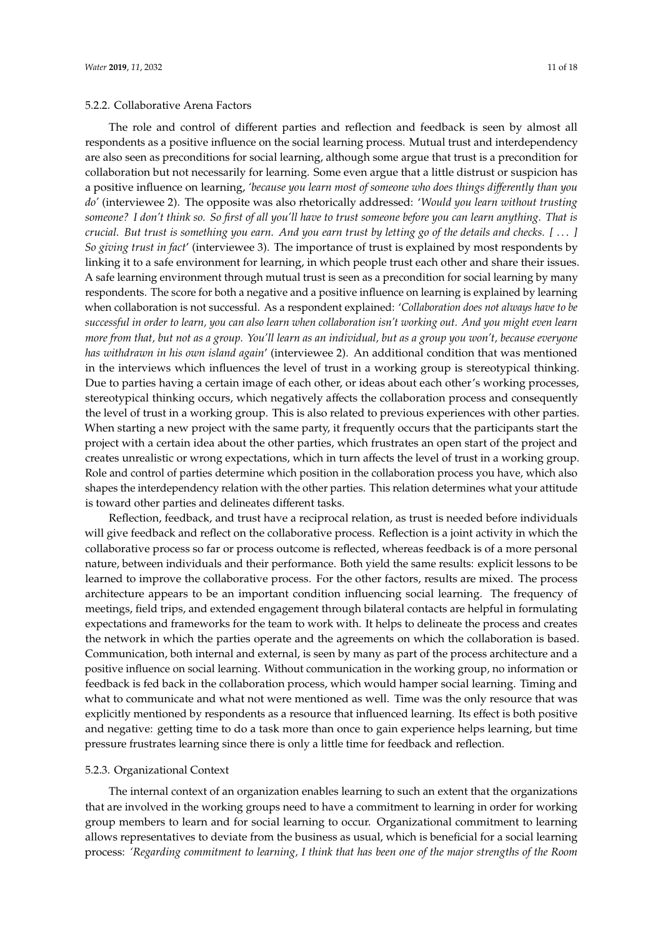#### 5.2.2. Collaborative Arena Factors

The role and control of different parties and reflection and feedback is seen by almost all respondents as a positive influence on the social learning process. Mutual trust and interdependency are also seen as preconditions for social learning, although some argue that trust is a precondition for collaboration but not necessarily for learning. Some even argue that a little distrust or suspicion has a positive influence on learning, *'because you learn most of someone who does things di*ff*erently than you do'* (interviewee 2). The opposite was also rhetorically addressed: '*Would you learn without trusting someone? I don't think so. So first of all you'll have to trust someone before you can learn anything. That is crucial. But trust is something you earn. And you earn trust by letting go of the details and checks. [* . . . *] So giving trust in fact*' (interviewee 3). The importance of trust is explained by most respondents by linking it to a safe environment for learning, in which people trust each other and share their issues. A safe learning environment through mutual trust is seen as a precondition for social learning by many respondents. The score for both a negative and a positive influence on learning is explained by learning when collaboration is not successful. As a respondent explained: '*Collaboration does not always have to be successful in order to learn, you can also learn when collaboration isn't working out. And you might even learn more from that, but not as a group. You'll learn as an individual, but as a group you won't, because everyone has withdrawn in his own island again*' (interviewee 2). An additional condition that was mentioned in the interviews which influences the level of trust in a working group is stereotypical thinking. Due to parties having a certain image of each other, or ideas about each other's working processes, stereotypical thinking occurs, which negatively affects the collaboration process and consequently the level of trust in a working group. This is also related to previous experiences with other parties. When starting a new project with the same party, it frequently occurs that the participants start the project with a certain idea about the other parties, which frustrates an open start of the project and creates unrealistic or wrong expectations, which in turn affects the level of trust in a working group. Role and control of parties determine which position in the collaboration process you have, which also shapes the interdependency relation with the other parties. This relation determines what your attitude is toward other parties and delineates different tasks.

Reflection, feedback, and trust have a reciprocal relation, as trust is needed before individuals will give feedback and reflect on the collaborative process. Reflection is a joint activity in which the collaborative process so far or process outcome is reflected, whereas feedback is of a more personal nature, between individuals and their performance. Both yield the same results: explicit lessons to be learned to improve the collaborative process. For the other factors, results are mixed. The process architecture appears to be an important condition influencing social learning. The frequency of meetings, field trips, and extended engagement through bilateral contacts are helpful in formulating expectations and frameworks for the team to work with. It helps to delineate the process and creates the network in which the parties operate and the agreements on which the collaboration is based. Communication, both internal and external, is seen by many as part of the process architecture and a positive influence on social learning. Without communication in the working group, no information or feedback is fed back in the collaboration process, which would hamper social learning. Timing and what to communicate and what not were mentioned as well. Time was the only resource that was explicitly mentioned by respondents as a resource that influenced learning. Its effect is both positive and negative: getting time to do a task more than once to gain experience helps learning, but time pressure frustrates learning since there is only a little time for feedback and reflection.

#### 5.2.3. Organizational Context

The internal context of an organization enables learning to such an extent that the organizations that are involved in the working groups need to have a commitment to learning in order for working group members to learn and for social learning to occur. Organizational commitment to learning allows representatives to deviate from the business as usual, which is beneficial for a social learning process: *'Regarding commitment to learning, I think that has been one of the major strengths of the Room*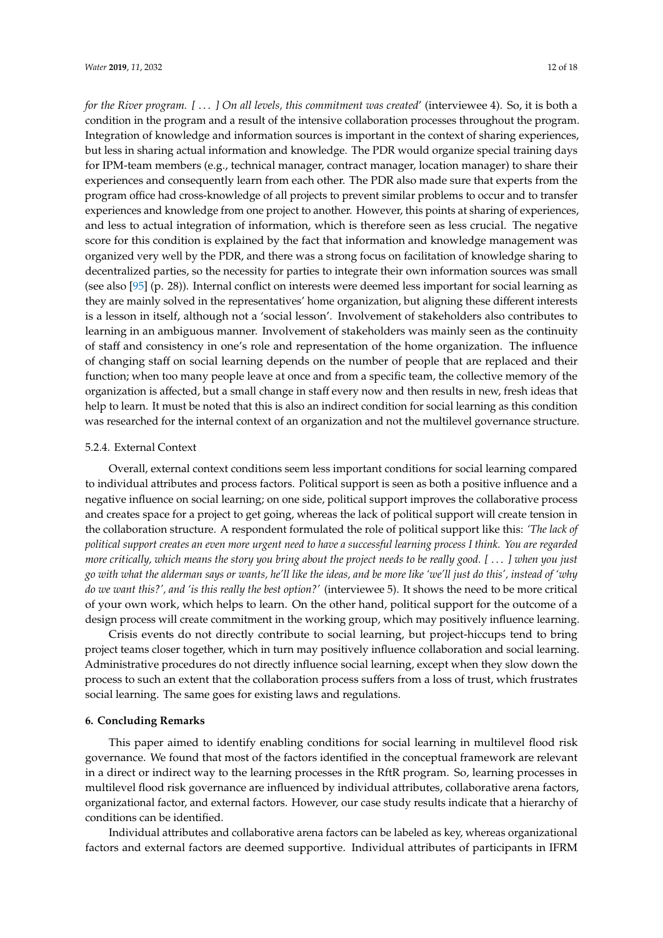*for the River program. [* . . . *] On all levels, this commitment was created*' (interviewee 4). So, it is both a condition in the program and a result of the intensive collaboration processes throughout the program. Integration of knowledge and information sources is important in the context of sharing experiences, but less in sharing actual information and knowledge. The PDR would organize special training days for IPM-team members (e.g., technical manager, contract manager, location manager) to share their experiences and consequently learn from each other. The PDR also made sure that experts from the program office had cross-knowledge of all projects to prevent similar problems to occur and to transfer experiences and knowledge from one project to another. However, this points at sharing of experiences, and less to actual integration of information, which is therefore seen as less crucial. The negative score for this condition is explained by the fact that information and knowledge management was organized very well by the PDR, and there was a strong focus on facilitation of knowledge sharing to decentralized parties, so the necessity for parties to integrate their own information sources was small (see also [\[95\]](#page-16-14) (p. 28)). Internal conflict on interests were deemed less important for social learning as they are mainly solved in the representatives' home organization, but aligning these different interests is a lesson in itself, although not a 'social lesson'. Involvement of stakeholders also contributes to learning in an ambiguous manner. Involvement of stakeholders was mainly seen as the continuity of staff and consistency in one's role and representation of the home organization. The influence of changing staff on social learning depends on the number of people that are replaced and their function; when too many people leave at once and from a specific team, the collective memory of the organization is affected, but a small change in staff every now and then results in new, fresh ideas that help to learn. It must be noted that this is also an indirect condition for social learning as this condition was researched for the internal context of an organization and not the multilevel governance structure.

#### 5.2.4. External Context

Overall, external context conditions seem less important conditions for social learning compared to individual attributes and process factors. Political support is seen as both a positive influence and a negative influence on social learning; on one side, political support improves the collaborative process and creates space for a project to get going, whereas the lack of political support will create tension in the collaboration structure. A respondent formulated the role of political support like this: *'The lack of political support creates an even more urgent need to have a successful learning process I think. You are regarded more critically, which means the story you bring about the project needs to be really good. [* . . . *] when you just go with what the alderman says or wants, he'll like the ideas, and be more like 'we'll just do this', instead of 'why do we want this?', and 'is this really the best option?'* (interviewee 5). It shows the need to be more critical of your own work, which helps to learn. On the other hand, political support for the outcome of a design process will create commitment in the working group, which may positively influence learning.

Crisis events do not directly contribute to social learning, but project-hiccups tend to bring project teams closer together, which in turn may positively influence collaboration and social learning. Administrative procedures do not directly influence social learning, except when they slow down the process to such an extent that the collaboration process suffers from a loss of trust, which frustrates social learning. The same goes for existing laws and regulations.

#### <span id="page-11-0"></span>**6. Concluding Remarks**

This paper aimed to identify enabling conditions for social learning in multilevel flood risk governance. We found that most of the factors identified in the conceptual framework are relevant in a direct or indirect way to the learning processes in the RftR program. So, learning processes in multilevel flood risk governance are influenced by individual attributes, collaborative arena factors, organizational factor, and external factors. However, our case study results indicate that a hierarchy of conditions can be identified.

Individual attributes and collaborative arena factors can be labeled as key, whereas organizational factors and external factors are deemed supportive. Individual attributes of participants in IFRM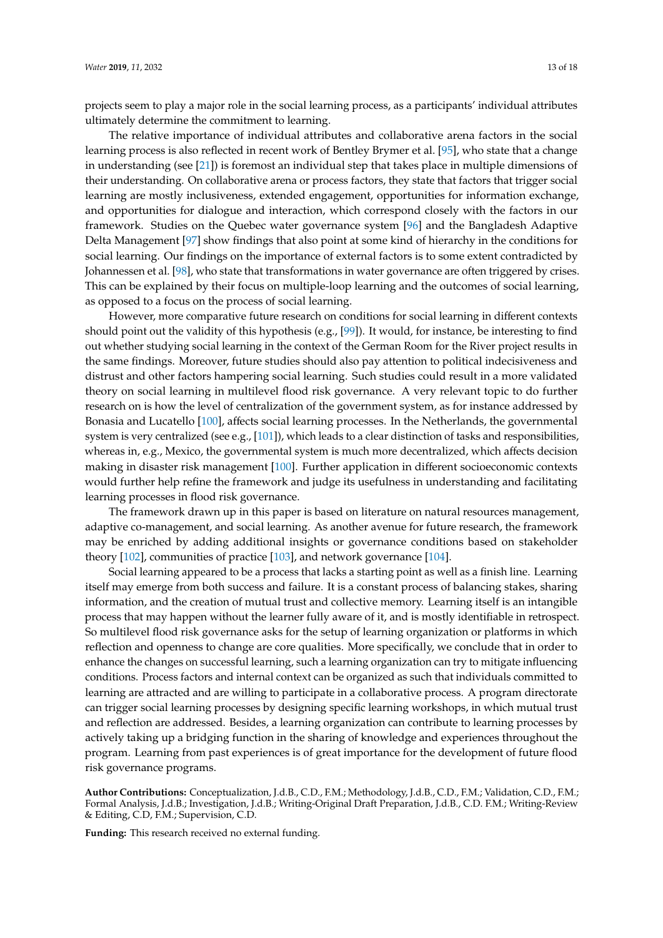projects seem to play a major role in the social learning process, as a participants' individual attributes ultimately determine the commitment to learning.

The relative importance of individual attributes and collaborative arena factors in the social learning process is also reflected in recent work of Bentley Brymer et al. [\[95\]](#page-16-14), who state that a change in understanding (see [\[21\]](#page-14-2)) is foremost an individual step that takes place in multiple dimensions of their understanding. On collaborative arena or process factors, they state that factors that trigger social learning are mostly inclusiveness, extended engagement, opportunities for information exchange, and opportunities for dialogue and interaction, which correspond closely with the factors in our framework. Studies on the Quebec water governance system [\[96\]](#page-17-0) and the Bangladesh Adaptive Delta Management [\[97\]](#page-17-1) show findings that also point at some kind of hierarchy in the conditions for social learning. Our findings on the importance of external factors is to some extent contradicted by Johannessen et al. [\[98\]](#page-17-2), who state that transformations in water governance are often triggered by crises. This can be explained by their focus on multiple-loop learning and the outcomes of social learning, as opposed to a focus on the process of social learning.

However, more comparative future research on conditions for social learning in different contexts should point out the validity of this hypothesis (e.g., [\[99\]](#page-17-3)). It would, for instance, be interesting to find out whether studying social learning in the context of the German Room for the River project results in the same findings. Moreover, future studies should also pay attention to political indecisiveness and distrust and other factors hampering social learning. Such studies could result in a more validated theory on social learning in multilevel flood risk governance. A very relevant topic to do further research on is how the level of centralization of the government system, as for instance addressed by Bonasia and Lucatello [\[100\]](#page-17-4), affects social learning processes. In the Netherlands, the governmental system is very centralized (see e.g., [\[101\]](#page-17-5)), which leads to a clear distinction of tasks and responsibilities, whereas in, e.g., Mexico, the governmental system is much more decentralized, which affects decision making in disaster risk management [\[100\]](#page-17-4). Further application in different socioeconomic contexts would further help refine the framework and judge its usefulness in understanding and facilitating learning processes in flood risk governance.

The framework drawn up in this paper is based on literature on natural resources management, adaptive co-management, and social learning. As another avenue for future research, the framework may be enriched by adding additional insights or governance conditions based on stakeholder theory [\[102\]](#page-17-6), communities of practice [\[103\]](#page-17-7), and network governance [\[104\]](#page-17-8).

Social learning appeared to be a process that lacks a starting point as well as a finish line. Learning itself may emerge from both success and failure. It is a constant process of balancing stakes, sharing information, and the creation of mutual trust and collective memory. Learning itself is an intangible process that may happen without the learner fully aware of it, and is mostly identifiable in retrospect. So multilevel flood risk governance asks for the setup of learning organization or platforms in which reflection and openness to change are core qualities. More specifically, we conclude that in order to enhance the changes on successful learning, such a learning organization can try to mitigate influencing conditions. Process factors and internal context can be organized as such that individuals committed to learning are attracted and are willing to participate in a collaborative process. A program directorate can trigger social learning processes by designing specific learning workshops, in which mutual trust and reflection are addressed. Besides, a learning organization can contribute to learning processes by actively taking up a bridging function in the sharing of knowledge and experiences throughout the program. Learning from past experiences is of great importance for the development of future flood risk governance programs.

**Author Contributions:** Conceptualization, J.d.B., C.D., F.M.; Methodology, J.d.B., C.D., F.M.; Validation, C.D., F.M.; Formal Analysis, J.d.B.; Investigation, J.d.B.; Writing-Original Draft Preparation, J.d.B., C.D. F.M.; Writing-Review & Editing, C.D, F.M.; Supervision, C.D.

**Funding:** This research received no external funding.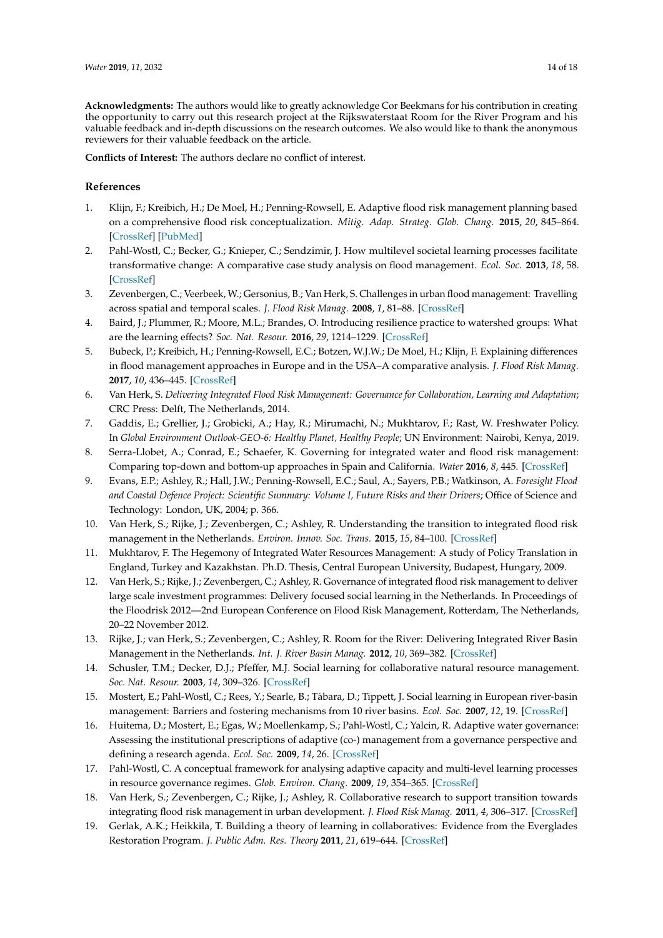**Acknowledgments:** The authors would like to greatly acknowledge Cor Beekmans for his contribution in creating the opportunity to carry out this research project at the Rijkswaterstaat Room for the River Program and his valuable feedback and in-depth discussions on the research outcomes. We also would like to thank the anonymous reviewers for their valuable feedback on the article.

**Conflicts of Interest:** The authors declare no conflict of interest.

## **References**

- <span id="page-13-0"></span>1. Klijn, F.; Kreibich, H.; De Moel, H.; Penning-Rowsell, E. Adaptive flood risk management planning based on a comprehensive flood risk conceptualization. *Mitig. Adap. Strateg. Glob. Chang.* **2015**, *20*, 845–864. [\[CrossRef\]](http://dx.doi.org/10.1007/s11027-015-9638-z) [\[PubMed\]](http://www.ncbi.nlm.nih.gov/pubmed/30197554)
- <span id="page-13-1"></span>2. Pahl-Wostl, C.; Becker, G.; Knieper, C.; Sendzimir, J. How multilevel societal learning processes facilitate transformative change: A comparative case study analysis on flood management. *Ecol. Soc.* **2013**, *18*, 58. [\[CrossRef\]](http://dx.doi.org/10.5751/ES-05779-180458)
- <span id="page-13-2"></span>3. Zevenbergen, C.; Veerbeek, W.; Gersonius, B.; Van Herk, S. Challenges in urban flood management: Travelling across spatial and temporal scales. *J. Flood Risk Manag.* **2008**, *1*, 81–88. [\[CrossRef\]](http://dx.doi.org/10.1111/j.1753-318X.2008.00010.x)
- <span id="page-13-3"></span>4. Baird, J.; Plummer, R.; Moore, M.L.; Brandes, O. Introducing resilience practice to watershed groups: What are the learning effects? *Soc. Nat. Resour.* **2016**, *29*, 1214–1229. [\[CrossRef\]](http://dx.doi.org/10.1080/08941920.2015.1107788)
- <span id="page-13-4"></span>5. Bubeck, P.; Kreibich, H.; Penning-Rowsell, E.C.; Botzen, W.J.W.; De Moel, H.; Klijn, F. Explaining differences in flood management approaches in Europe and in the USA–A comparative analysis. *J. Flood Risk Manag.* **2017**, *10*, 436–445. [\[CrossRef\]](http://dx.doi.org/10.1111/jfr3.12151)
- <span id="page-13-6"></span>6. Van Herk, S. *Delivering Integrated Flood Risk Management: Governance for Collaboration, Learning and Adaptation*; CRC Press: Delft, The Netherlands, 2014.
- <span id="page-13-5"></span>7. Gaddis, E.; Grellier, J.; Grobicki, A.; Hay, R.; Mirumachi, N.; Mukhtarov, F.; Rast, W. Freshwater Policy. In *Global Environment Outlook-GEO-6: Healthy Planet, Healthy People*; UN Environment: Nairobi, Kenya, 2019.
- <span id="page-13-7"></span>8. Serra-Llobet, A.; Conrad, E.; Schaefer, K. Governing for integrated water and flood risk management: Comparing top-down and bottom-up approaches in Spain and California. *Water* **2016**, *8*, 445. [\[CrossRef\]](http://dx.doi.org/10.3390/w8100445)
- <span id="page-13-8"></span>9. Evans, E.P.; Ashley, R.; Hall, J.W.; Penning-Rowsell, E.C.; Saul, A.; Sayers, P.B.; Watkinson, A. *Foresight Flood and Coastal Defence Project: Scientific Summary: Volume I, Future Risks and their Drivers*; Office of Science and Technology: London, UK, 2004; p. 366.
- <span id="page-13-14"></span>10. Van Herk, S.; Rijke, J.; Zevenbergen, C.; Ashley, R. Understanding the transition to integrated flood risk management in the Netherlands. *Environ. Innov. Soc. Trans.* **2015**, *15*, 84–100. [\[CrossRef\]](http://dx.doi.org/10.1016/j.eist.2013.11.001)
- <span id="page-13-9"></span>11. Mukhtarov, F. The Hegemony of Integrated Water Resources Management: A study of Policy Translation in England, Turkey and Kazakhstan. Ph.D. Thesis, Central European University, Budapest, Hungary, 2009.
- <span id="page-13-10"></span>12. Van Herk, S.; Rijke, J.; Zevenbergen, C.; Ashley, R. Governance of integrated flood risk management to deliver large scale investment programmes: Delivery focused social learning in the Netherlands. In Proceedings of the Floodrisk 2012—2nd European Conference on Flood Risk Management, Rotterdam, The Netherlands, 20–22 November 2012.
- <span id="page-13-16"></span>13. Rijke, J.; van Herk, S.; Zevenbergen, C.; Ashley, R. Room for the River: Delivering Integrated River Basin Management in the Netherlands. *Int. J. River Basin Manag.* **2012**, *10*, 369–382. [\[CrossRef\]](http://dx.doi.org/10.1080/15715124.2012.739173)
- <span id="page-13-11"></span>14. Schusler, T.M.; Decker, D.J.; Pfeffer, M.J. Social learning for collaborative natural resource management. *Soc. Nat. Resour.* **2003**, *14*, 309–326. [\[CrossRef\]](http://dx.doi.org/10.1080/08941920390178874)
- <span id="page-13-17"></span>15. Mostert, E.; Pahl-Wostl, C.; Rees, Y.; Searle, B.; Tàbara, D.; Tippett, J. Social learning in European river-basin management: Barriers and fostering mechanisms from 10 river basins. *Ecol. Soc.* **2007**, *12*, 19. [\[CrossRef\]](http://dx.doi.org/10.5751/ES-01960-120119)
- <span id="page-13-18"></span>16. Huitema, D.; Mostert, E.; Egas, W.; Moellenkamp, S.; Pahl-Wostl, C.; Yalcin, R. Adaptive water governance: Assessing the institutional prescriptions of adaptive (co-) management from a governance perspective and defining a research agenda. *Ecol. Soc.* **2009**, *14*, 26. [\[CrossRef\]](http://dx.doi.org/10.5751/ES-02827-140126)
- <span id="page-13-15"></span>17. Pahl-Wostl, C. A conceptual framework for analysing adaptive capacity and multi-level learning processes in resource governance regimes. *Glob. Environ. Chang.* **2009**, *19*, 354–365. [\[CrossRef\]](http://dx.doi.org/10.1016/j.gloenvcha.2009.06.001)
- <span id="page-13-12"></span>18. Van Herk, S.; Zevenbergen, C.; Rijke, J.; Ashley, R. Collaborative research to support transition towards integrating flood risk management in urban development. *J. Flood Risk Manag.* **2011**, *4*, 306–317. [\[CrossRef\]](http://dx.doi.org/10.1111/j.1753-318X.2011.01113.x)
- <span id="page-13-13"></span>19. Gerlak, A.K.; Heikkila, T. Building a theory of learning in collaboratives: Evidence from the Everglades Restoration Program. *J. Public Adm. Res. Theory* **2011**, *21*, 619–644. [\[CrossRef\]](http://dx.doi.org/10.1093/jopart/muq089)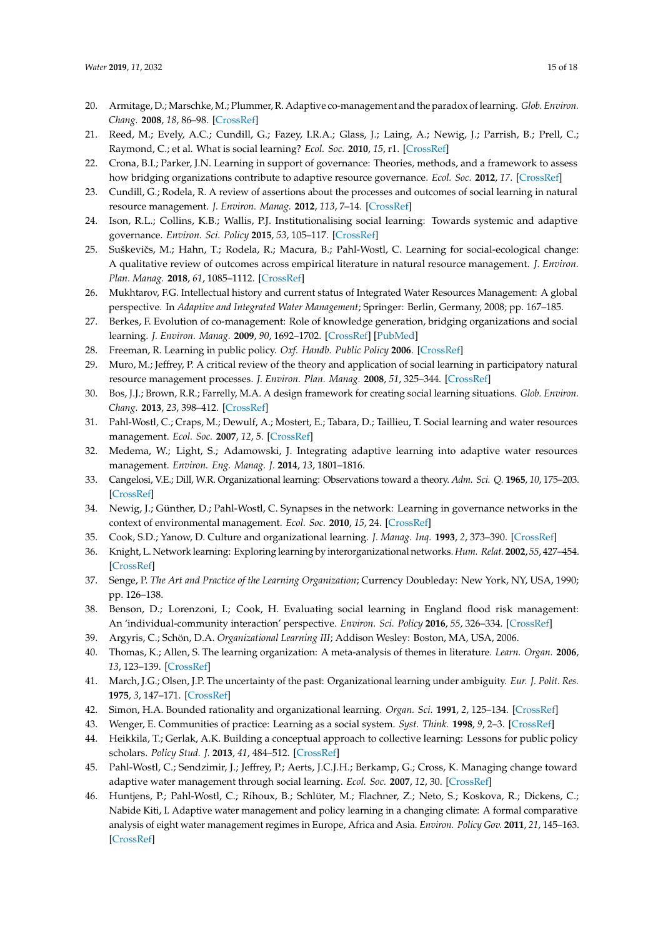- <span id="page-14-0"></span>20. Armitage, D.; Marschke, M.; Plummer, R. Adaptive co-management and the paradox of learning. *Glob. Environ. Chang.* **2008**, *18*, 86–98. [\[CrossRef\]](http://dx.doi.org/10.1016/j.gloenvcha.2007.07.002)
- <span id="page-14-2"></span>21. Reed, M.; Evely, A.C.; Cundill, G.; Fazey, I.R.A.; Glass, J.; Laing, A.; Newig, J.; Parrish, B.; Prell, C.; Raymond, C.; et al. What is social learning? *Ecol. Soc.* **2010**, *15*, r1. [\[CrossRef\]](http://dx.doi.org/10.5751/ES-03564-1504r01)
- 22. Crona, B.I.; Parker, J.N. Learning in support of governance: Theories, methods, and a framework to assess how bridging organizations contribute to adaptive resource governance. *Ecol. Soc.* **2012**, *17*. [\[CrossRef\]](http://dx.doi.org/10.5751/ES-04534-170132)
- <span id="page-14-21"></span>23. Cundill, G.; Rodela, R. A review of assertions about the processes and outcomes of social learning in natural resource management. *J. Environ. Manag.* **2012**, *113*, 7–14. [\[CrossRef\]](http://dx.doi.org/10.1016/j.jenvman.2012.08.021)
- 24. Ison, R.L.; Collins, K.B.; Wallis, P.J. Institutionalising social learning: Towards systemic and adaptive governance. *Environ. Sci. Policy* **2015**, *53*, 105–117. [\[CrossRef\]](http://dx.doi.org/10.1016/j.envsci.2014.11.002)
- <span id="page-14-1"></span>25. Suškevičs, M.; Hahn, T.; Rodela, R.; Macura, B.; Pahl-Wostl, C. Learning for social-ecological change: A qualitative review of outcomes across empirical literature in natural resource management. *J. Environ. Plan. Manag.* **2018**, *61*, 1085–1112. [\[CrossRef\]](http://dx.doi.org/10.1080/09640568.2017.1339594)
- <span id="page-14-3"></span>26. Mukhtarov, F.G. Intellectual history and current status of Integrated Water Resources Management: A global perspective. In *Adaptive and Integrated Water Management*; Springer: Berlin, Germany, 2008; pp. 167–185.
- <span id="page-14-4"></span>27. Berkes, F. Evolution of co-management: Role of knowledge generation, bridging organizations and social learning. *J. Environ. Manag.* **2009**, *90*, 1692–1702. [\[CrossRef\]](http://dx.doi.org/10.1016/j.jenvman.2008.12.001) [\[PubMed\]](http://www.ncbi.nlm.nih.gov/pubmed/19110363)
- <span id="page-14-6"></span><span id="page-14-5"></span>28. Freeman, R. Learning in public policy. *Oxf. Handb. Public Policy* **2006**. [\[CrossRef\]](http://dx.doi.org/10.1093/oxfordhb/9780199548453.003.0017)
- 29. Muro, M.; Jeffrey, P. A critical review of the theory and application of social learning in participatory natural resource management processes. *J. Environ. Plan. Manag.* **2008**, *51*, 325–344. [\[CrossRef\]](http://dx.doi.org/10.1080/09640560801977190)
- <span id="page-14-7"></span>30. Bos, J.J.; Brown, R.R.; Farrelly, M.A. A design framework for creating social learning situations. *Glob. Environ. Chang.* **2013**, *23*, 398–412. [\[CrossRef\]](http://dx.doi.org/10.1016/j.gloenvcha.2012.12.003)
- <span id="page-14-8"></span>31. Pahl-Wostl, C.; Craps, M.; Dewulf, A.; Mostert, E.; Tabara, D.; Taillieu, T. Social learning and water resources management. *Ecol. Soc.* **2007**, *12*, 5. [\[CrossRef\]](http://dx.doi.org/10.5751/ES-02037-120205)
- <span id="page-14-9"></span>32. Medema, W.; Light, S.; Adamowski, J. Integrating adaptive learning into adaptive water resources management. *Environ. Eng. Manag. J.* **2014**, *13*, 1801–1816.
- <span id="page-14-10"></span>33. Cangelosi, V.E.; Dill, W.R. Organizational learning: Observations toward a theory. *Adm. Sci. Q.* **1965**, *10*, 175–203. [\[CrossRef\]](http://dx.doi.org/10.2307/2391412)
- <span id="page-14-11"></span>34. Newig, J.; Günther, D.; Pahl-Wostl, C. Synapses in the network: Learning in governance networks in the context of environmental management. *Ecol. Soc.* **2010**, *15*, 24. [\[CrossRef\]](http://dx.doi.org/10.5751/ES-03713-150424)
- <span id="page-14-12"></span>35. Cook, S.D.; Yanow, D. Culture and organizational learning. *J. Manag. Inq.* **1993**, *2*, 373–390. [\[CrossRef\]](http://dx.doi.org/10.1177/105649269324010)
- 36. Knight, L. Network learning: Exploring learning by interorganizational networks. *Hum. Relat.* **2002**, *55*, 427–454. [\[CrossRef\]](http://dx.doi.org/10.1177/0018726702554003)
- <span id="page-14-13"></span>37. Senge, P. *The Art and Practice of the Learning Organization*; Currency Doubleday: New York, NY, USA, 1990; pp. 126–138.
- <span id="page-14-14"></span>38. Benson, D.; Lorenzoni, I.; Cook, H. Evaluating social learning in England flood risk management: An 'individual-community interaction' perspective. *Environ. Sci. Policy* **2016**, *55*, 326–334. [\[CrossRef\]](http://dx.doi.org/10.1016/j.envsci.2015.05.013)
- <span id="page-14-15"></span>39. Argyris, C.; Schön, D.A. *Organizational Learning III*; Addison Wesley: Boston, MA, USA, 2006.
- <span id="page-14-16"></span>40. Thomas, K.; Allen, S. The learning organization: A meta-analysis of themes in literature. *Learn. Organ.* **2006**, *13*, 123–139. [\[CrossRef\]](http://dx.doi.org/10.1108/09696470610645467)
- <span id="page-14-17"></span>41. March, J.G.; Olsen, J.P. The uncertainty of the past: Organizational learning under ambiguity. *Eur. J. Polit. Res.* **1975**, *3*, 147–171. [\[CrossRef\]](http://dx.doi.org/10.1111/j.1475-6765.1975.tb00521.x)
- <span id="page-14-18"></span>42. Simon, H.A. Bounded rationality and organizational learning. *Organ. Sci.* **1991**, *2*, 125–134. [\[CrossRef\]](http://dx.doi.org/10.1287/orsc.2.1.125)
- 43. Wenger, E. Communities of practice: Learning as a social system. *Syst. Think.* **1998**, *9*, 2–3. [\[CrossRef\]](http://dx.doi.org/10.1177/135050840072002)
- <span id="page-14-19"></span>44. Heikkila, T.; Gerlak, A.K. Building a conceptual approach to collective learning: Lessons for public policy scholars. *Policy Stud. J.* **2013**, *41*, 484–512. [\[CrossRef\]](http://dx.doi.org/10.1111/psj.12026)
- <span id="page-14-20"></span>45. Pahl-Wostl, C.; Sendzimir, J.; Jeffrey, P.; Aerts, J.C.J.H.; Berkamp, G.; Cross, K. Managing change toward adaptive water management through social learning. *Ecol. Soc.* **2007**, *12*, 30. [\[CrossRef\]](http://dx.doi.org/10.5751/ES-02147-120230)
- <span id="page-14-22"></span>46. Huntjens, P.; Pahl-Wostl, C.; Rihoux, B.; Schlüter, M.; Flachner, Z.; Neto, S.; Koskova, R.; Dickens, C.; Nabide Kiti, I. Adaptive water management and policy learning in a changing climate: A formal comparative analysis of eight water management regimes in Europe, Africa and Asia. *Environ. Policy Gov.* **2011**, *21*, 145–163. [\[CrossRef\]](http://dx.doi.org/10.1002/eet.571)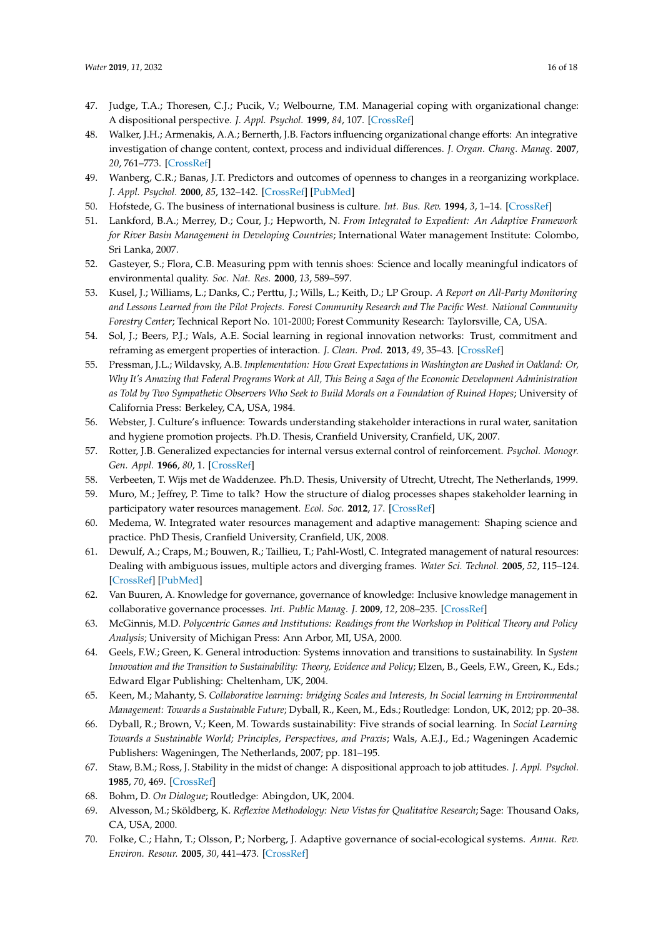- <span id="page-15-0"></span>47. Judge, T.A.; Thoresen, C.J.; Pucik, V.; Welbourne, T.M. Managerial coping with organizational change: A dispositional perspective. *J. Appl. Psychol.* **1999**, *84*, 107. [\[CrossRef\]](http://dx.doi.org/10.1037/0021-9010.84.1.107)
- <span id="page-15-1"></span>48. Walker, J.H.; Armenakis, A.A.; Bernerth, J.B. Factors influencing organizational change efforts: An integrative investigation of change content, context, process and individual differences. *J. Organ. Chang. Manag.* **2007**, *20*, 761–773. [\[CrossRef\]](http://dx.doi.org/10.1108/09534810710831000)
- <span id="page-15-2"></span>49. Wanberg, C.R.; Banas, J.T. Predictors and outcomes of openness to changes in a reorganizing workplace. *J. Appl. Psychol.* **2000**, *85*, 132–142. [\[CrossRef\]](http://dx.doi.org/10.1037/0021-9010.85.1.132) [\[PubMed\]](http://www.ncbi.nlm.nih.gov/pubmed/10740964)
- <span id="page-15-4"></span><span id="page-15-3"></span>50. Hofstede, G. The business of international business is culture. *Int. Bus. Rev.* **1994**, *3*, 1–14. [\[CrossRef\]](http://dx.doi.org/10.1016/0969-5931(94)90011-6)
- 51. Lankford, B.A.; Merrey, D.; Cour, J.; Hepworth, N. *From Integrated to Expedient: An Adaptive Framework for River Basin Management in Developing Countries*; International Water management Institute: Colombo, Sri Lanka, 2007.
- <span id="page-15-9"></span>52. Gasteyer, S.; Flora, C.B. Measuring ppm with tennis shoes: Science and locally meaningful indicators of environmental quality. *Soc. Nat. Res.* **2000**, *13*, 589–597.
- <span id="page-15-5"></span>53. Kusel, J.; Williams, L.; Danks, C.; Perttu, J.; Wills, L.; Keith, D.; LP Group. *A Report on All-Party Monitoring and Lessons Learned from the Pilot Projects. Forest Community Research and The Pacific West. National Community Forestry Center*; Technical Report No. 101-2000; Forest Community Research: Taylorsville, CA, USA.
- <span id="page-15-6"></span>54. Sol, J.; Beers, P.J.; Wals, A.E. Social learning in regional innovation networks: Trust, commitment and reframing as emergent properties of interaction. *J. Clean. Prod.* **2013**, *49*, 35–43. [\[CrossRef\]](http://dx.doi.org/10.1016/j.jclepro.2012.07.041)
- <span id="page-15-15"></span>55. Pressman, J.L.; Wildavsky, A.B. *Implementation: How Great Expectations in Washington are Dashed in Oakland: Or, Why It's Amazing that Federal Programs Work at All, This Being a Saga of the Economic Development Administration as Told by Two Sympathetic Observers Who Seek to Build Morals on a Foundation of Ruined Hopes*; University of California Press: Berkeley, CA, USA, 1984.
- <span id="page-15-7"></span>56. Webster, J. Culture's influence: Towards understanding stakeholder interactions in rural water, sanitation and hygiene promotion projects. Ph.D. Thesis, Cranfield University, Cranfield, UK, 2007.
- <span id="page-15-8"></span>57. Rotter, J.B. Generalized expectancies for internal versus external control of reinforcement. *Psychol. Monogr. Gen. Appl.* **1966**, *80*, 1. [\[CrossRef\]](http://dx.doi.org/10.1037/h0092976)
- <span id="page-15-10"></span>58. Verbeeten, T. Wijs met de Waddenzee. Ph.D. Thesis, University of Utrecht, Utrecht, The Netherlands, 1999.
- <span id="page-15-11"></span>59. Muro, M.; Jeffrey, P. Time to talk? How the structure of dialog processes shapes stakeholder learning in participatory water resources management. *Ecol. Soc.* **2012**, *17*. [\[CrossRef\]](http://dx.doi.org/10.5751/ES-04476-170103)
- <span id="page-15-12"></span>60. Medema, W. Integrated water resources management and adaptive management: Shaping science and practice. PhD Thesis, Cranfield University, Cranfield, UK, 2008.
- <span id="page-15-13"></span>61. Dewulf, A.; Craps, M.; Bouwen, R.; Taillieu, T.; Pahl-Wostl, C. Integrated management of natural resources: Dealing with ambiguous issues, multiple actors and diverging frames. *Water Sci. Technol.* **2005**, *52*, 115–124. [\[CrossRef\]](http://dx.doi.org/10.2166/wst.2005.0159) [\[PubMed\]](http://www.ncbi.nlm.nih.gov/pubmed/16304943)
- <span id="page-15-14"></span>62. Van Buuren, A. Knowledge for governance, governance of knowledge: Inclusive knowledge management in collaborative governance processes. *Int. Public Manag. J.* **2009**, *12*, 208–235. [\[CrossRef\]](http://dx.doi.org/10.1080/10967490902868523)
- <span id="page-15-16"></span>63. McGinnis, M.D. *Polycentric Games and Institutions: Readings from the Workshop in Political Theory and Policy Analysis*; University of Michigan Press: Ann Arbor, MI, USA, 2000.
- 64. Geels, F.W.; Green, K. General introduction: Systems innovation and transitions to sustainability. In *System Innovation and the Transition to Sustainability: Theory, Evidence and Policy*; Elzen, B., Geels, F.W., Green, K., Eds.; Edward Elgar Publishing: Cheltenham, UK, 2004.
- 65. Keen, M.; Mahanty, S. *Collaborative learning: bridging Scales and Interests, In Social learning in Environmental Management: Towards a Sustainable Future*; Dyball, R., Keen, M., Eds.; Routledge: London, UK, 2012; pp. 20–38.
- <span id="page-15-17"></span>66. Dyball, R.; Brown, V.; Keen, M. Towards sustainability: Five strands of social learning. In *Social Learning Towards a Sustainable World; Principles, Perspectives, and Praxis*; Wals, A.E.J., Ed.; Wageningen Academic Publishers: Wageningen, The Netherlands, 2007; pp. 181–195.
- 67. Staw, B.M.; Ross, J. Stability in the midst of change: A dispositional approach to job attitudes. *J. Appl. Psychol.* **1985**, *70*, 469. [\[CrossRef\]](http://dx.doi.org/10.1037/0021-9010.70.3.469)
- 68. Bohm, D. *On Dialogue*; Routledge: Abingdon, UK, 2004.
- 69. Alvesson, M.; Sköldberg, K. *Reflexive Methodology: New Vistas for Qualitative Research*; Sage: Thousand Oaks, CA, USA, 2000.
- <span id="page-15-18"></span>70. Folke, C.; Hahn, T.; Olsson, P.; Norberg, J. Adaptive governance of social-ecological systems. *Annu. Rev. Environ. Resour.* **2005**, *30*, 441–473. [\[CrossRef\]](http://dx.doi.org/10.1146/annurev.energy.30.050504.144511)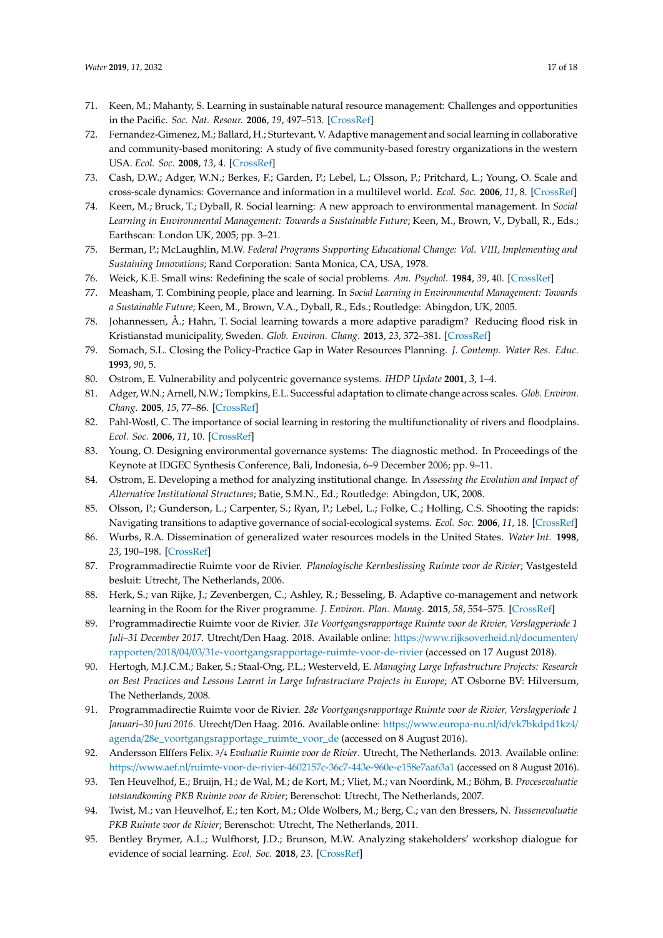- 71. Keen, M.; Mahanty, S. Learning in sustainable natural resource management: Challenges and opportunities in the Pacific. *Soc. Nat. Resour.* **2006**, *19*, 497–513. [\[CrossRef\]](http://dx.doi.org/10.1080/08941920600663896)
- <span id="page-16-0"></span>72. Fernandez-Gimenez, M.; Ballard, H.; Sturtevant, V. Adaptive management and social learning in collaborative and community-based monitoring: A study of five community-based forestry organizations in the western USA. *Ecol. Soc.* **2008**, *13*, 4. [\[CrossRef\]](http://dx.doi.org/10.5751/ES-02400-130204)
- <span id="page-16-1"></span>73. Cash, D.W.; Adger, W.N.; Berkes, F.; Garden, P.; Lebel, L.; Olsson, P.; Pritchard, L.; Young, O. Scale and cross-scale dynamics: Governance and information in a multilevel world. *Ecol. Soc.* **2006**, *11*, 8. [\[CrossRef\]](http://dx.doi.org/10.5751/ES-01759-110208)
- <span id="page-16-2"></span>74. Keen, M.; Bruck, T.; Dyball, R. Social learning: A new approach to environmental management. In *Social Learning in Environmental Management: Towards a Sustainable Future*; Keen, M., Brown, V., Dyball, R., Eds.; Earthscan: London UK, 2005; pp. 3–21.
- 75. Berman, P.; McLaughlin, M.W. *Federal Programs Supporting Educational Change: Vol. VIII, Implementing and Sustaining Innovations*; Rand Corporation: Santa Monica, CA, USA, 1978.
- 76. Weick, K.E. Small wins: Redefining the scale of social problems. *Am. Psychol.* **1984**, *39*, 40. [\[CrossRef\]](http://dx.doi.org/10.1037/0003-066X.39.1.40)
- 77. Measham, T. Combining people, place and learning. In *Social Learning in Environmental Management: Towards a Sustainable Future*; Keen, M., Brown, V.A., Dyball, R., Eds.; Routledge: Abingdon, UK, 2005.
- <span id="page-16-3"></span>78. Johannessen, Å.; Hahn, T. Social learning towards a more adaptive paradigm? Reducing flood risk in Kristianstad municipality, Sweden. *Glob. Environ. Chang.* **2013**, *23*, 372–381. [\[CrossRef\]](http://dx.doi.org/10.1016/j.gloenvcha.2012.07.009)
- <span id="page-16-4"></span>79. Somach, S.L. Closing the Policy-Practice Gap in Water Resources Planning. *J. Contemp. Water Res. Educ.* **1993**, *90*, 5.
- 80. Ostrom, E. Vulnerability and polycentric governance systems. *IHDP Update* **2001**, *3*, 1–4.
- 81. Adger, W.N.; Arnell, N.W.; Tompkins, E.L. Successful adaptation to climate change across scales. *Glob. Environ. Chang.* **2005**, *15*, 77–86. [\[CrossRef\]](http://dx.doi.org/10.1016/j.gloenvcha.2004.12.005)
- 82. Pahl-Wostl, C. The importance of social learning in restoring the multifunctionality of rivers and floodplains. *Ecol. Soc.* **2006**, *11*, 10. [\[CrossRef\]](http://dx.doi.org/10.5751/ES-01542-110110)
- 83. Young, O. Designing environmental governance systems: The diagnostic method. In Proceedings of the Keynote at IDGEC Synthesis Conference, Bali, Indonesia, 6–9 December 2006; pp. 9–11.
- <span id="page-16-5"></span>84. Ostrom, E. Developing a method for analyzing institutional change. In *Assessing the Evolution and Impact of Alternative Institutional Structures*; Batie, S.M.N., Ed.; Routledge: Abingdon, UK, 2008.
- <span id="page-16-6"></span>85. Olsson, P.; Gunderson, L.; Carpenter, S.; Ryan, P.; Lebel, L.; Folke, C.; Holling, C.S. Shooting the rapids: Navigating transitions to adaptive governance of social-ecological systems. *Ecol. Soc.* **2006**, *11*, 18. [\[CrossRef\]](http://dx.doi.org/10.5751/ES-01595-110118)
- <span id="page-16-7"></span>86. Wurbs, R.A. Dissemination of generalized water resources models in the United States. *Water Int.* **1998**, *23*, 190–198. [\[CrossRef\]](http://dx.doi.org/10.1080/02508069808686767)
- <span id="page-16-8"></span>87. Programmadirectie Ruimte voor de Rivier. *Planologische Kernbeslissing Ruimte voor de Rivier*; Vastgesteld besluit: Utrecht, The Netherlands, 2006.
- <span id="page-16-9"></span>88. Herk, S.; van Rijke, J.; Zevenbergen, C.; Ashley, R.; Besseling, B. Adaptive co-management and network learning in the Room for the River programme. *J. Environ. Plan. Manag.* **2015**, *58*, 554–575. [\[CrossRef\]](http://dx.doi.org/10.1080/09640568.2013.873364)
- <span id="page-16-10"></span>89. Programmadirectie Ruimte voor de Rivier. *31e Voortgangsrapportage Ruimte voor de Rivier, Verslagperiode 1 Juli–31 December 2017*. Utrecht/Den Haag. 2018. Available online: https://[www.rijksoverheid.nl](https://www.rijksoverheid.nl/documenten/rapporten/2018/04/03/31e-voortgangsrapportage-ruimte-voor-de-rivier)/documenten/ rapporten/2018/04/03/[31e-voortgangsrapportage-ruimte-voor-de-rivier](https://www.rijksoverheid.nl/documenten/rapporten/2018/04/03/31e-voortgangsrapportage-ruimte-voor-de-rivier) (accessed on 17 August 2018).
- <span id="page-16-11"></span>90. Hertogh, M.J.C.M.; Baker, S.; Staal-Ong, P.L.; Westerveld, E. *Managing Large Infrastructure Projects: Research on Best Practices and Lessons Learnt in Large Infrastructure Projects in Europe*; AT Osborne BV: Hilversum, The Netherlands, 2008.
- <span id="page-16-12"></span>91. Programmadirectie Ruimte voor de Rivier. *28e Voortgangsrapportage Ruimte voor de Rivier, Verslagperiode 1 Januari–30 Juni 2016*. Utrecht/Den Haag. 2016. Available online: https://[www.europa-nu.nl](https://www.europa-nu.nl/id/vk7bkdpd1kz4/agenda/28e_voortgangsrapportage_ruimte_voor_de)/id/vk7bkdpd1kz4/ agenda/[28e\\_voortgangsrapportage\\_ruimte\\_voor\\_de](https://www.europa-nu.nl/id/vk7bkdpd1kz4/agenda/28e_voortgangsrapportage_ruimte_voor_de) (accessed on 8 August 2016).
- <span id="page-16-13"></span>92. Andersson Elffers Felix. 3/4 *Evaluatie Ruimte voor de Rivier*. Utrecht, The Netherlands. 2013. Available online: https://www.aef.nl/[ruimte-voor-de-rivier-4602157c-36c7-443e-960e-e158e7aa63a1](https://www.aef.nl/ruimte-voor-de-rivier-4602157c-36c7-443e-960e-e158e7aa63a1) (accessed on 8 August 2016).
- 93. Ten Heuvelhof, E.; Bruijn, H.; de Wal, M.; de Kort, M.; Vliet, M.; van Noordink, M.; Böhm, B. *Procesevaluatie totstandkoming PKB Ruimte voor de Rivier*; Berenschot: Utrecht, The Netherlands, 2007.
- 94. Twist, M.; van Heuvelhof, E.; ten Kort, M.; Olde Wolbers, M.; Berg, C.; van den Bressers, N. *Tussenevaluatie PKB Ruimte voor de Rivier*; Berenschot: Utrecht, The Netherlands, 2011.
- <span id="page-16-14"></span>95. Bentley Brymer, A.L.; Wulfhorst, J.D.; Brunson, M.W. Analyzing stakeholders' workshop dialogue for evidence of social learning. *Ecol. Soc.* **2018**, *23*. [\[CrossRef\]](http://dx.doi.org/10.5751/ES-09959-230142)